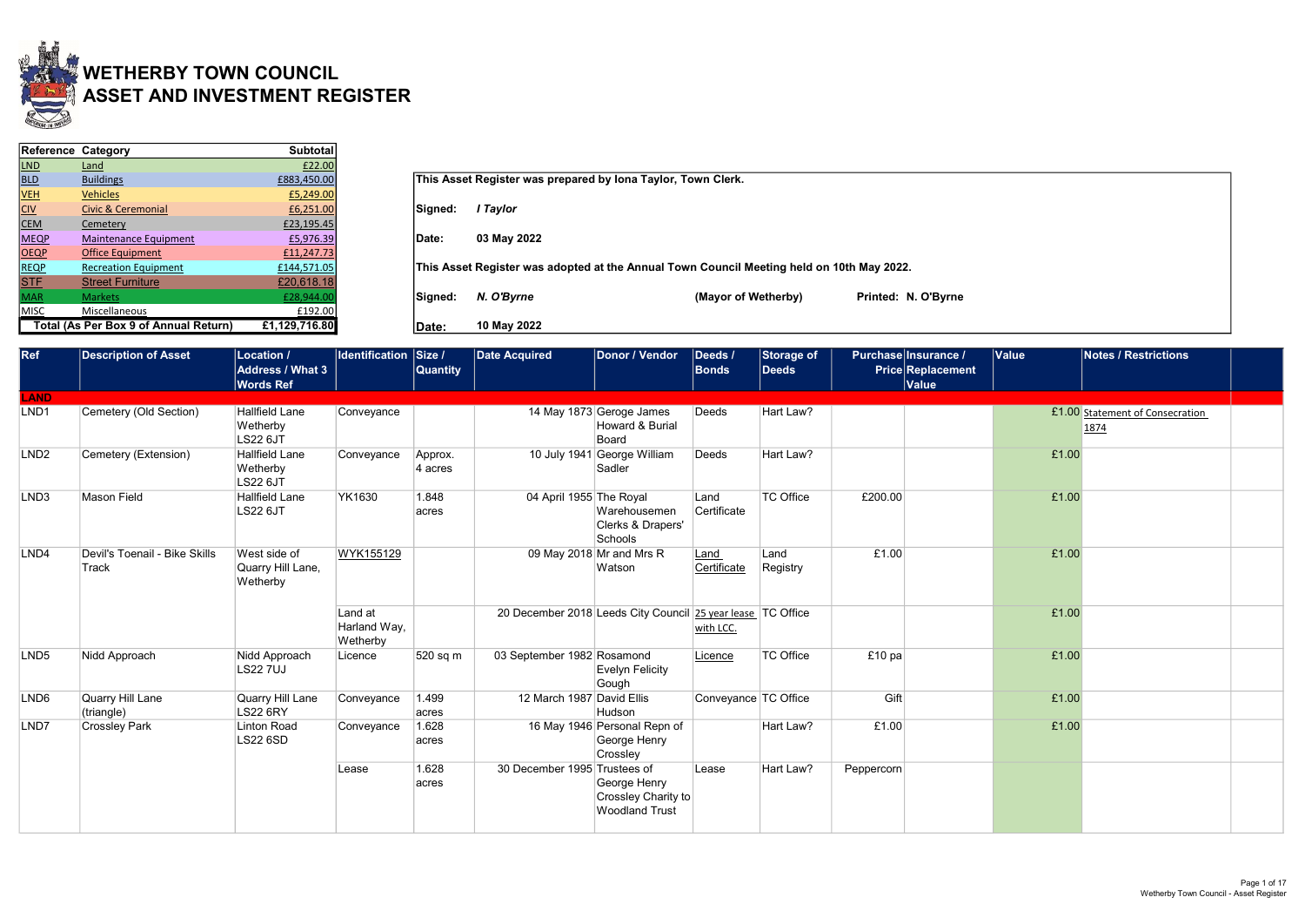|             | <b>Reference Category</b>             | Subtotal      |         |             |                                                                                           |                     |
|-------------|---------------------------------------|---------------|---------|-------------|-------------------------------------------------------------------------------------------|---------------------|
| <u>LND</u>  | <u>Land</u>                           | £22.00        |         |             |                                                                                           |                     |
| <u>BLD</u>  | <b>Buildings</b>                      | £883,450.00   |         |             | This Asset Register was prepared by Iona Taylor, Town Clerk.                              |                     |
| <u>VEH</u>  | <b>Vehicles</b>                       | £5,249.00     |         |             |                                                                                           |                     |
| <u>CIV</u>  | Civic & Ceremonial                    | £6,251.00     | Signed: | I Taylor    |                                                                                           |                     |
| <u>CEM</u>  | Cemetery                              | £23,195.45    |         |             |                                                                                           |                     |
| <u>MEQP</u> | Maintenance Equipment                 | £5,976.39     | Date:   | 03 May 2022 |                                                                                           |                     |
| <u>OEQP</u> | <b>Office Equipment</b>               | £11,247.73    |         |             |                                                                                           |                     |
| <u>REQP</u> | <b>Recreation Equipment</b>           | £144,571.05   |         |             | This Asset Register was adopted at the Annual Town Council Meeting held on 10th May 2022. |                     |
| <b>STE</b>  | <b>Street Furniture</b>               | £20,618.18    |         |             |                                                                                           |                     |
| <u>MAR</u>  | <b>Markets</b>                        | £28,944.00    | Signed: | N. O'Byrne  | (Mayor of Wetherby)                                                                       | Printed: N. O'Byrne |
| MISC        | Miscellaneous                         | £192.00       |         |             |                                                                                           |                     |
|             | Total (As Per Box 9 of Annual Return) | £1,129,716.80 | Date:   | 10 May 2022 |                                                                                           |                     |

| Ref              | <b>Description of Asset</b>            | <b>Location /</b><br><b>Address / What 3</b><br><b>Words Ref</b> | Identification Size /               | <b>Quantity</b>                | <b>Date Acquired</b>                                        | Donor / Vendor                                               | Deeds /<br>Bonds     | Storage of<br><b>Deeds</b> | Purchase Insurance /<br><b>Price Replacement</b><br>Value | Value | <b>Notes / Restrictions</b>             |
|------------------|----------------------------------------|------------------------------------------------------------------|-------------------------------------|--------------------------------|-------------------------------------------------------------|--------------------------------------------------------------|----------------------|----------------------------|-----------------------------------------------------------|-------|-----------------------------------------|
| <b>LAND</b>      |                                        |                                                                  |                                     |                                |                                                             |                                                              |                      |                            |                                                           |       |                                         |
| LND1             | Cemetery (Old Section)                 | Hallfield Lane<br>Wetherby<br>LS22 6JT                           | Conveyance                          |                                |                                                             | 14 May 1873 Geroge James<br>Howard & Burial<br>Board         | Deeds                | Hart Law?                  |                                                           |       | £1.00 Statement of Consecration<br>1874 |
| LND <sub>2</sub> | Cemetery (Extension)                   | <b>Hallfield Lane</b><br>Wetherby<br>LS22 6JT                    | Conveyance                          | Approx.<br>$ 4 \text{ acres} $ |                                                             | 10 July 1941 George William<br>Sadler                        | Deeds                | Hart Law?                  |                                                           | £1.00 |                                         |
| LND <sub>3</sub> | Mason Field                            | <b>Hallfield Lane</b><br><b>LS22 6JT</b>                         | YK1630                              | 1.848<br>acres                 | 04 April 1955 The Royal                                     | Warehousemen<br>Clerks & Drapers'<br>Schools                 | Land<br>Certificate  | <b>TC Office</b>           | £200.00                                                   | £1.00 |                                         |
| LND4             | Devil's Toenail - Bike Skills<br>Track | West side of<br>Quarry Hill Lane,<br>Wetherby                    | WYK155129                           |                                |                                                             | 09 May 2018 Mr and Mrs R<br>Watson                           | Land<br>Certificate  | Land<br>Registry           | £1.00                                                     | £1.00 |                                         |
|                  |                                        |                                                                  | Land at<br>Harland Way,<br>Wetherby |                                | 20 December 2018 Leeds City Council 25 year lease TC Office |                                                              | with LCC.            |                            |                                                           | £1.00 |                                         |
| LND <sub>5</sub> | Nidd Approach                          | Nidd Approach<br><b>LS22 7UJ</b>                                 | Licence                             | 520 sq m                       | 03 September 1982 Rosamond                                  | Evelyn Felicity<br>Gough                                     | Licence              | <b>TC Office</b>           | £10 $pa$                                                  | £1.00 |                                         |
| LND <sub>6</sub> | Quarry Hill Lane<br>(triangle)         | Quarry Hill Lane<br>LS22 6RY                                     | Conveyance                          | 1.499<br>acres                 | 12 March 1987 David Ellis                                   | Hudson                                                       | Conveyance TC Office |                            | Gift                                                      | £1.00 |                                         |
| LND7             | <b>Crossley Park</b>                   | Linton Road<br><b>LS22 6SD</b>                                   | Conveyance                          | 1.628<br>acres                 |                                                             | 16 May 1946 Personal Repn of<br>George Henry<br>Crossley     |                      | Hart Law?                  | £1.00                                                     | £1.00 |                                         |
|                  |                                        |                                                                  | Lease                               | 1.628<br>acres                 | 30 December 1995 Trustees of                                | George Henry<br>Crossley Charity to<br><b>Woodland Trust</b> | Lease                | Hart Law?                  | Peppercorn                                                |       |                                         |



## WETHERBY TOWN COUNCIL ASSET AND INVESTMENT REGISTER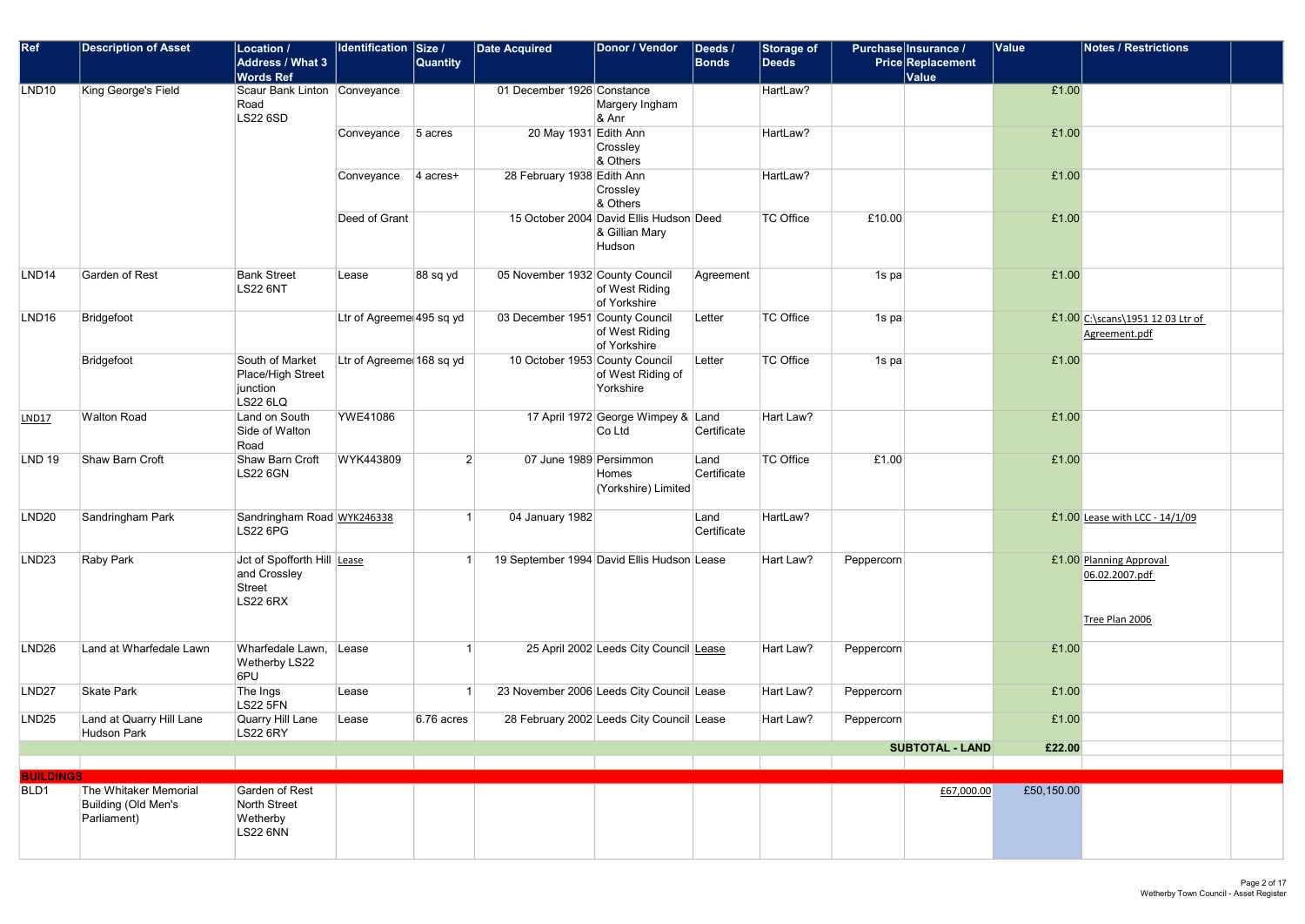| Ref               | <b>Description of Asset</b>                                 | <b>Location /</b><br><b>Address / What 3</b><br><b>Words Ref</b>         | Identification Size /    | <b>Quantity</b> | <b>Date Acquired</b>                       | Donor / Vendor                                                      | Deeds /<br>Bonds    | Storage of<br><b>Deeds</b> | Purchase Insurance /<br><b>Price Replacement</b><br>Value | Value      | <b>Notes / Restrictions</b>                                 |
|-------------------|-------------------------------------------------------------|--------------------------------------------------------------------------|--------------------------|-----------------|--------------------------------------------|---------------------------------------------------------------------|---------------------|----------------------------|-----------------------------------------------------------|------------|-------------------------------------------------------------|
| LND <sub>10</sub> | King George's Field                                         | Scaur Bank Linton Conveyance<br>Road<br><b>LS22 6SD</b>                  |                          |                 | 01 December 1926 Constance                 | Margery Ingham<br>$8$ Anr                                           |                     | HartLaw?                   |                                                           | £1.00      |                                                             |
|                   |                                                             |                                                                          | Conveyance               | $5$ acres       | 20 May 1931 Edith Ann                      | Crossley<br>& Others                                                |                     | HartLaw?                   |                                                           | £1.00      |                                                             |
|                   |                                                             |                                                                          | Conveyance               | $4$ acres+      | 28 February 1938 Edith Ann                 | Crossley<br>& Others                                                |                     | HartLaw?                   |                                                           | £1.00      |                                                             |
|                   |                                                             |                                                                          | Deed of Grant            |                 |                                            | 15 October 2004 David Ellis Hudson Deed<br>& Gillian Mary<br>Hudson |                     | TC Office                  | £10.00                                                    | £1.00      |                                                             |
| LND14             | Garden of Rest                                              | <b>Bank Street</b><br><b>LS22 6NT</b>                                    | Lease                    | $ 88$ sq yd     | 05 November 1932 County Council            | of West Riding<br>of Yorkshire                                      | Agreement           |                            | $1s$ pa                                                   | £1.00      |                                                             |
| LND <sub>16</sub> | Bridgefoot                                                  |                                                                          | Ltr of Agreeme 495 sq yd |                 | 03 December 1951 County Council            | of West Riding<br>of Yorkshire                                      | Letter              | TC Office                  | $1s$ pa                                                   |            | £1.00 C:\scans\1951 12 03 Ltr of<br>Agreement.pdf           |
|                   | Bridgefoot                                                  | South of Market<br>Place/High Street<br>junction<br><b>LS22 6LQ</b>      | Ltr of Agreeme 168 sq yd |                 | 10 October 1953 County Council             | of West Riding of<br>Yorkshire                                      | Letter              | TC Office                  | $1s$ pa                                                   | £1.00      |                                                             |
| <b>LND17</b>      | <b>Walton Road</b>                                          | Land on South<br>Side of Walton<br>Road                                  | YWE41086                 |                 |                                            | 17 April 1972 George Wimpey & Land<br>Co Ltd                        | Certificate         | Hart Law?                  |                                                           | £1.00      |                                                             |
| <b>LND 19</b>     | Shaw Barn Croft                                             | Shaw Barn Croft<br>LS22 6GN                                              | WYK443809                | $\mathbf{2}$    | 07 June 1989 Persimmon                     | Homes<br>(Yorkshire) Limited                                        | Land<br>Certificate | <b>TC Office</b>           | £1.00                                                     | £1.00      |                                                             |
| <b>LND20</b>      | Sandringham Park                                            | Sandringham Road WYK246338<br>LS22 6PG                                   |                          |                 | 04 January 1982                            |                                                                     | Land<br>Certificate | HartLaw?                   |                                                           |            | £1.00 Lease with LCC - $14/1/09$                            |
| LND <sub>23</sub> | Raby Park                                                   | Jct of Spofforth Hill Lease<br>and Crossley<br>Street<br><b>LS22 6RX</b> |                          |                 | 19 September 1994 David Ellis Hudson Lease |                                                                     |                     | Hart Law?                  | Peppercorn                                                |            | £1.00 Planning Approval<br>06.02.2007.pdf<br>Tree Plan 2006 |
| LND <sub>26</sub> | Land at Wharfedale Lawn                                     | Wharfedale Lawn,<br><b>Wetherby LS22</b><br>6PU                          | Lease                    |                 |                                            | 25 April 2002 Leeds City Council Lease                              |                     | Hart Law?                  | Peppercorn                                                | £1.00      |                                                             |
| LND <sub>27</sub> | Skate Park                                                  | The Ings<br>LS22 5FN                                                     | Lease                    |                 | 23 November 2006 Leeds City Council Lease  |                                                                     |                     | Hart Law?                  | Peppercorn                                                | £1.00      |                                                             |
| <b>LND25</b>      | Land at Quarry Hill Lane<br>Hudson Park                     | Quarry Hill Lane<br><b>LS22 6RY</b>                                      | Lease                    | $6.76$ acres    |                                            | 28 February 2002 Leeds City Council Lease                           |                     | Hart Law?                  | Peppercorn                                                | £1.00      |                                                             |
|                   |                                                             |                                                                          |                          |                 |                                            |                                                                     |                     |                            | <b>SUBTOTAL - LAND</b>                                    | £22.00     |                                                             |
| <b>BUILDINGS</b>  |                                                             |                                                                          |                          |                 |                                            |                                                                     |                     |                            |                                                           |            |                                                             |
| BLD1              | The Whitaker Memorial<br>Building (Old Men's<br>Parliament) | Garden of Rest<br>North Street<br>Wetherby<br>LS22 6NN                   |                          |                 |                                            |                                                                     |                     |                            | £67,000.00                                                | £50,150.00 |                                                             |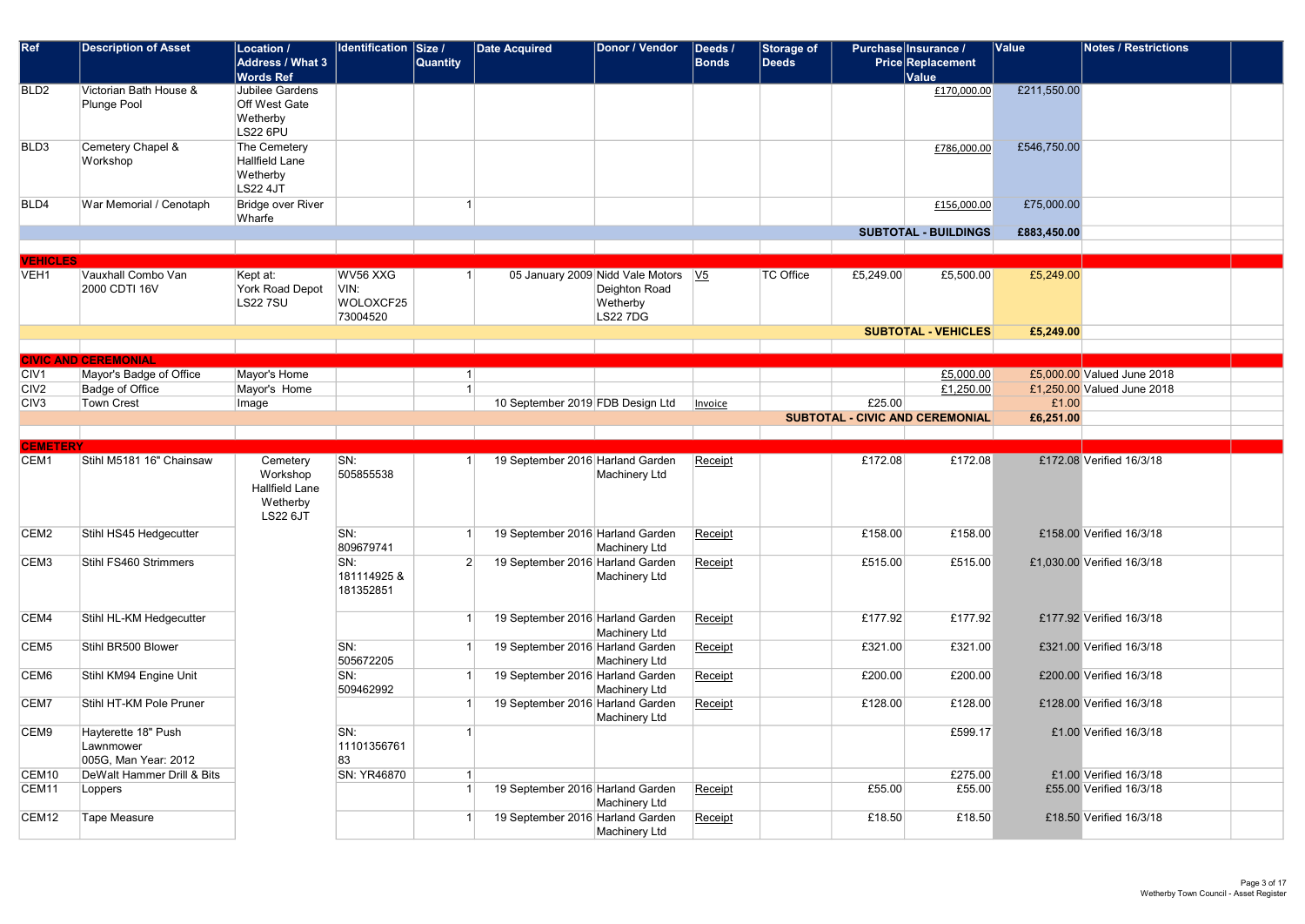| Ref                     | <b>Description of Asset</b>                              | Location /<br><b>Address / What 3</b><br><b>Words Ref</b>                    | Identification                            | $\vert$ Size /<br><b>Quantity</b> | <b>Date Acquired</b>             | Donor / Vendor                                                                       | Deeds /<br>Bonds | Storage of<br><b>Deeds</b> |           | Purchase Insurance /<br><b>Price Replacement</b><br>Value | Value       | <b>Notes / Restrictions</b> |
|-------------------------|----------------------------------------------------------|------------------------------------------------------------------------------|-------------------------------------------|-----------------------------------|----------------------------------|--------------------------------------------------------------------------------------|------------------|----------------------------|-----------|-----------------------------------------------------------|-------------|-----------------------------|
| BLD <sub>2</sub>        | Victorian Bath House &<br>Plunge Pool                    | Jubilee Gardens<br>Off West Gate<br>Wetherby<br>LS22 6PU                     |                                           |                                   |                                  |                                                                                      |                  |                            |           | £170,000.00                                               | £211,550.00 |                             |
| BLD3                    | Cemetery Chapel &<br>Workshop                            | The Cemetery<br><b>Hallfield Lane</b><br>Wetherby<br><b>LS22 4JT</b>         |                                           |                                   |                                  |                                                                                      |                  |                            |           | £786,000.00                                               | £546,750.00 |                             |
| BLD4                    | War Memorial / Cenotaph                                  | <b>Bridge over River</b><br>Wharfe                                           |                                           |                                   |                                  |                                                                                      |                  |                            |           | £156,000.00                                               | £75,000.00  |                             |
|                         |                                                          |                                                                              |                                           |                                   |                                  |                                                                                      |                  |                            |           | <b>SUBTOTAL - BUILDINGS</b>                               | £883,450.00 |                             |
| <b>VEHICLES</b>         |                                                          |                                                                              |                                           |                                   |                                  |                                                                                      |                  |                            |           |                                                           |             |                             |
| VEH <sub>1</sub>        | Vauxhall Combo Van<br>2000 CDTI 16V                      | Kept at:<br>York Road Depot<br><b>LS227SU</b>                                | WV56 XXG<br>VIN:<br>WOLOXCF25<br>73004520 |                                   |                                  | 05 January 2009 Nidd Vale Motors   V5<br>Deighton Road<br>Wetherby<br><b>LS227DG</b> |                  | TC Office                  | £5,249.00 | £5,500.00                                                 | £5,249.00   |                             |
|                         |                                                          |                                                                              |                                           |                                   |                                  |                                                                                      |                  |                            |           | <b>SUBTOTAL - VEHICLES</b>                                | £5,249.00   |                             |
|                         |                                                          |                                                                              |                                           |                                   |                                  |                                                                                      |                  |                            |           |                                                           |             |                             |
| CIV <sub>1</sub>        | <b>CIVIC AND CEREMONIAL</b><br>Mayor's Badge of Office   | Mayor's Home                                                                 |                                           |                                   |                                  |                                                                                      |                  |                            |           | £5,000.00                                                 |             | £5,000.00 Valued June 2018  |
| CIV <sub>2</sub>        | Badge of Office                                          | Mayor's Home                                                                 |                                           |                                   |                                  |                                                                                      |                  |                            |           | £1,250.00                                                 |             | £1,250.00 Valued June 2018  |
| CIV <sub>3</sub>        | Town Crest                                               | Image                                                                        |                                           |                                   | 10 September 2019 FDB Design Ltd |                                                                                      | Invoice          |                            | £25.00    |                                                           | £1.00       |                             |
|                         |                                                          |                                                                              |                                           |                                   |                                  |                                                                                      |                  |                            |           | SUBTOTAL - CIVIC AND CEREMONIAL                           | £6,251.00   |                             |
|                         |                                                          |                                                                              |                                           |                                   |                                  |                                                                                      |                  |                            |           |                                                           |             |                             |
| <b>CEMETERY</b><br>CEM1 | Stihl M5181 16" Chainsaw                                 | Cemetery<br>Workshop<br><b>Hallfield Lane</b><br>Wetherby<br><b>LS22 6JT</b> | SN:<br>505855538                          |                                   | 19 September 2016 Harland Garden | Machinery Ltd                                                                        | Receipt          |                            | £172.08   | £172.08                                                   |             | £172.08 Verified 16/3/18    |
| CEM <sub>2</sub>        | Stihl HS45 Hedgecutter                                   |                                                                              | SN:<br>809679741                          |                                   | 19 September 2016 Harland Garden | Machinery Ltd                                                                        | Receipt          |                            | £158.00   | £158.00                                                   |             | £158.00 Verified 16/3/18    |
| CEM <sub>3</sub>        | Stihl FS460 Strimmers                                    |                                                                              | SN:<br>181114925&<br>181352851            | $\overline{2}$                    | 19 September 2016 Harland Garden | Machinery Ltd                                                                        | Receipt          |                            | £515.00   | £515.00                                                   |             | £1,030.00 Verified 16/3/18  |
| CEM4                    | Stihl HL-KM Hedgecutter                                  |                                                                              |                                           |                                   | 19 September 2016 Harland Garden | Machinery Ltd                                                                        | Receipt          |                            | £177.92   | £177.92                                                   |             | £177.92 Verified 16/3/18    |
| CEM <sub>5</sub>        | Stihl BR500 Blower                                       |                                                                              | SN:<br>505672205                          |                                   | 19 September 2016 Harland Garden | Machinery Ltd                                                                        | Receipt          |                            | £321.00   | £321.00                                                   |             | £321.00 Verified 16/3/18    |
| CEM6                    | Stihl KM94 Engine Unit                                   |                                                                              | SN:<br>509462992                          |                                   | 19 September 2016 Harland Garden | Machinery Ltd                                                                        | Receipt          |                            | £200.00   | £200.00                                                   |             | £200.00 Verified 16/3/18    |
| CEM7                    | Stihl HT-KM Pole Pruner                                  |                                                                              |                                           |                                   | 19 September 2016 Harland Garden | Machinery Ltd                                                                        | Receipt          |                            | £128.00   | £128.00                                                   |             | £128.00 Verified 16/3/18    |
| CEM9                    | Hayterette 18" Push<br>Lawnmower<br>005G, Man Year: 2012 |                                                                              | SN:<br>11101356761<br>83                  |                                   |                                  |                                                                                      |                  |                            |           | £599.17                                                   |             | £1.00 Verified 16/3/18      |
| CEM <sub>10</sub>       | DeWalt Hammer Drill & Bits                               |                                                                              | SN: YR46870                               |                                   |                                  |                                                                                      |                  |                            |           | £275.00                                                   |             | £1.00 Verified 16/3/18      |
| CEM11                   | Loppers                                                  |                                                                              |                                           |                                   | 19 September 2016 Harland Garden | Machinery Ltd                                                                        | Receipt          |                            | £55.00    | £55.00                                                    |             | £55.00 Verified 16/3/18     |
| CEM <sub>12</sub>       | Tape Measure                                             |                                                                              |                                           |                                   | 19 September 2016 Harland Garden | Machinery Ltd                                                                        | Receipt          |                            | £18.50    | £18.50                                                    |             | £18.50 Verified 16/3/18     |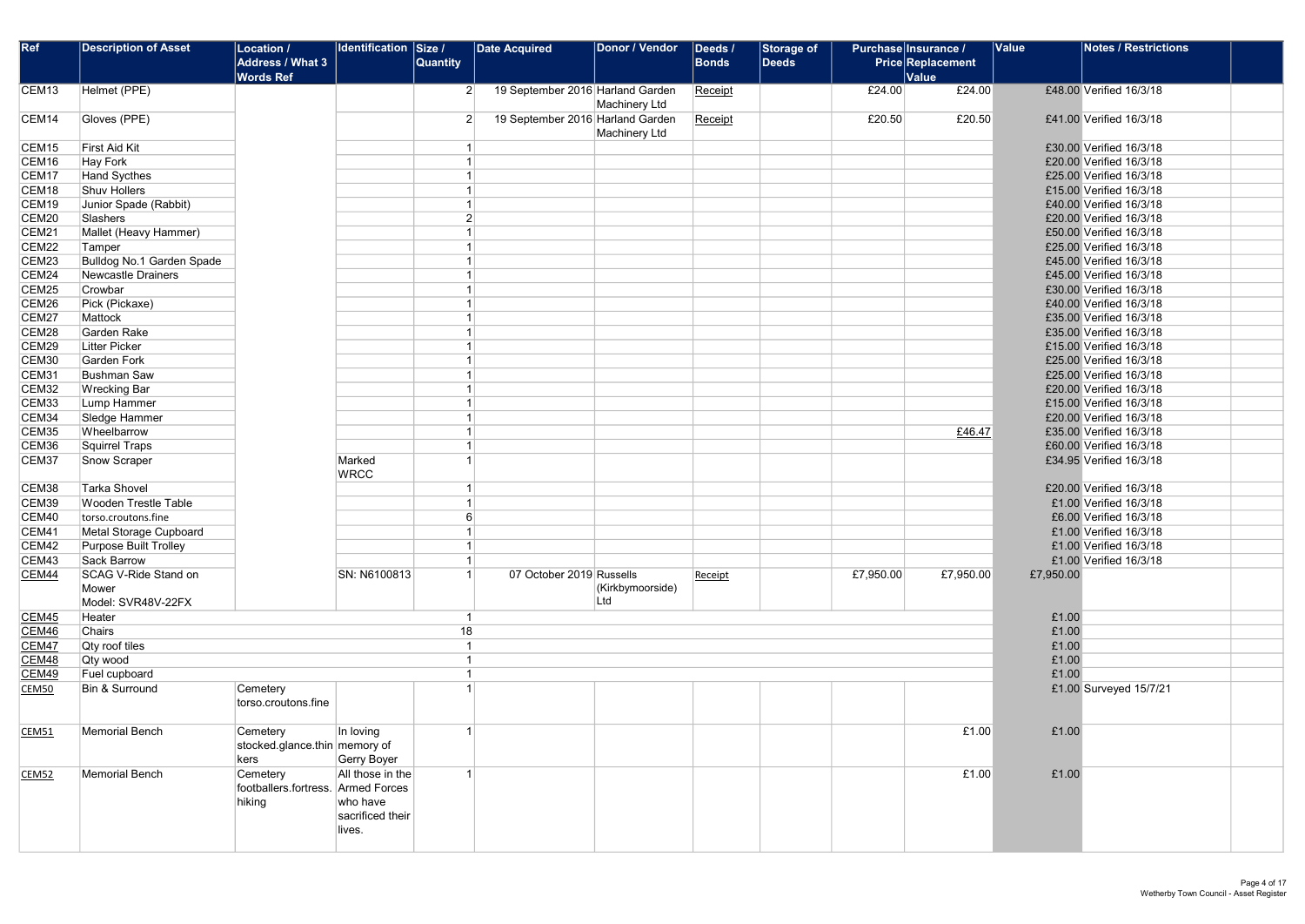| Ref          | <b>Description of Asset</b> | <b>Location /</b>               | <b>Identification Size /</b> |                 | <b>Date Acquired</b>             | Donor / Vendor   | Deeds / | Storage of | Purchase Insurance / |                          | Value     | <b>Notes / Restrictions</b> |  |
|--------------|-----------------------------|---------------------------------|------------------------------|-----------------|----------------------------------|------------------|---------|------------|----------------------|--------------------------|-----------|-----------------------------|--|
|              |                             | <b>Address / What 3</b>         |                              | <b>Quantity</b> |                                  |                  | Bonds   | Deeds      |                      | <b>Price Replacement</b> |           |                             |  |
|              |                             | <b>Words Ref</b>                |                              |                 |                                  |                  |         |            |                      | <b>Value</b>             |           |                             |  |
| CEM13        | Helmet (PPE)                |                                 |                              | $\vert$ 2       | 19 September 2016 Harland Garden |                  | Receipt |            | £24.00               | £24.00                   |           | £48.00 Verified 16/3/18     |  |
|              |                             |                                 |                              |                 |                                  | Machinery Ltd    |         |            |                      |                          |           |                             |  |
| CEM14        | Gloves (PPE)                |                                 |                              | 2               | 19 September 2016 Harland Garden |                  | Receipt |            | £20.50               | £20.50                   |           | £41.00 Verified 16/3/18     |  |
|              |                             |                                 |                              |                 |                                  | Machinery Ltd    |         |            |                      |                          |           |                             |  |
| CEM15        | First Aid Kit               |                                 |                              |                 |                                  |                  |         |            |                      |                          |           | £30.00 Verified 16/3/18     |  |
| CEM16        | Hay Fork                    |                                 |                              |                 |                                  |                  |         |            |                      |                          |           | £20.00 Verified 16/3/18     |  |
| CEM17        | Hand Sycthes                |                                 |                              |                 |                                  |                  |         |            |                      |                          |           | £25.00 Verified 16/3/18     |  |
| CEM18        | Shuv Hollers                |                                 |                              |                 |                                  |                  |         |            |                      |                          |           | £15.00 Verified 16/3/18     |  |
| CEM19        | Junior Spade (Rabbit)       |                                 |                              |                 |                                  |                  |         |            |                      |                          |           | £40.00 Verified 16/3/18     |  |
| CEM20        | Slashers                    |                                 |                              | 2               |                                  |                  |         |            |                      |                          |           | £20.00 Verified 16/3/18     |  |
| CEM21        | Mallet (Heavy Hammer)       |                                 |                              |                 |                                  |                  |         |            |                      |                          |           | £50.00 Verified 16/3/18     |  |
| CEM22        | Tamper                      |                                 |                              |                 |                                  |                  |         |            |                      |                          |           | £25.00 Verified 16/3/18     |  |
| CEM23        | Bulldog No.1 Garden Spade   |                                 |                              |                 |                                  |                  |         |            |                      |                          |           | £45.00 Verified 16/3/18     |  |
| CEM24        | Newcastle Drainers          |                                 |                              |                 |                                  |                  |         |            |                      |                          |           | £45.00 Verified 16/3/18     |  |
| CEM25        | Crowbar                     |                                 |                              |                 |                                  |                  |         |            |                      |                          |           | £30.00 Verified 16/3/18     |  |
| CEM26        | Pick (Pickaxe)              |                                 |                              |                 |                                  |                  |         |            |                      |                          |           | £40.00 Verified 16/3/18     |  |
| CEM27        | Mattock                     |                                 |                              |                 |                                  |                  |         |            |                      |                          |           | £35.00 Verified 16/3/18     |  |
| CEM28        | Garden Rake                 |                                 |                              |                 |                                  |                  |         |            |                      |                          |           | £35.00 Verified 16/3/18     |  |
| CEM29        | Litter Picker               |                                 |                              |                 |                                  |                  |         |            |                      |                          |           | £15.00 Verified 16/3/18     |  |
| CEM30        | Garden Fork                 |                                 |                              |                 |                                  |                  |         |            |                      |                          |           | £25.00 Verified 16/3/18     |  |
| CEM31        | <b>Bushman Saw</b>          |                                 |                              |                 |                                  |                  |         |            |                      |                          |           | £25.00 Verified 16/3/18     |  |
| CEM32        | <b>Wrecking Bar</b>         |                                 |                              |                 |                                  |                  |         |            |                      |                          |           | £20.00 Verified 16/3/18     |  |
| CEM33        | Lump Hammer                 |                                 |                              |                 |                                  |                  |         |            |                      |                          |           | £15.00 Verified 16/3/18     |  |
| CEM34        | Sledge Hammer               |                                 |                              |                 |                                  |                  |         |            |                      |                          |           | £20.00 Verified 16/3/18     |  |
| CEM35        | Wheelbarrow                 |                                 |                              |                 |                                  |                  |         |            |                      | £46.47                   |           | £35.00 Verified 16/3/18     |  |
| CEM36        | Squirrel Traps              |                                 |                              |                 |                                  |                  |         |            |                      |                          |           | £60.00 Verified 16/3/18     |  |
| CEM37        | Snow Scraper                |                                 | Marked<br><b>WRCC</b>        |                 |                                  |                  |         |            |                      |                          |           | £34.95 Verified 16/3/18     |  |
| CEM38        | Tarka Shovel                |                                 |                              |                 |                                  |                  |         |            |                      |                          |           | £20.00 Verified 16/3/18     |  |
| CEM39        | <b>Wooden Trestle Table</b> |                                 |                              |                 |                                  |                  |         |            |                      |                          |           | £1.00 Verified 16/3/18      |  |
| CEM40        | torso.croutons.fine         |                                 |                              | 6               |                                  |                  |         |            |                      |                          |           | £6.00 Verified 16/3/18      |  |
| CEM41        | Metal Storage Cupboard      |                                 |                              | $\mathbf{1}$    |                                  |                  |         |            |                      |                          |           | £1.00 Verified 16/3/18      |  |
| CEM42        | Purpose Built Trolley       |                                 |                              |                 |                                  |                  |         |            |                      |                          |           | £1.00 Verified 16/3/18      |  |
| CEM43        | Sack Barrow                 |                                 |                              |                 |                                  |                  |         |            |                      |                          |           | £1.00 Verified 16/3/18      |  |
| CEM44        | SCAG V-Ride Stand on        |                                 | SN: N6100813                 |                 | 07 October 2019 Russells         |                  | Receipt |            | £7,950.00            | £7,950.00                | £7,950.00 |                             |  |
|              | Mower                       |                                 |                              |                 |                                  | (Kirkbymoorside) |         |            |                      |                          |           |                             |  |
|              | Model: SVR48V-22FX          |                                 |                              |                 |                                  | Ltd              |         |            |                      |                          |           |                             |  |
| <b>CEM45</b> | Heater                      |                                 |                              |                 |                                  |                  |         |            |                      |                          | £1.00     |                             |  |
| <b>CEM46</b> | Chairs                      |                                 |                              | 18              |                                  |                  |         |            |                      |                          | £1.00     |                             |  |
| CEM47        | Qty roof tiles              |                                 |                              |                 |                                  |                  |         |            |                      |                          | £1.00     |                             |  |
| CEM48        | Qty wood                    |                                 |                              |                 |                                  |                  |         |            |                      |                          | £1.00     |                             |  |
| CEM49        | Fuel cupboard               |                                 |                              |                 |                                  |                  |         |            |                      |                          | £1.00     |                             |  |
| CEM50        | Bin & Surround              | Cemetery<br>torso.croutons.fine |                              |                 |                                  |                  |         |            |                      |                          |           | £1.00 Surveyed 15/7/21      |  |
| <b>CEM51</b> | Memorial Bench              | Cemetery                        | In loving                    |                 |                                  |                  |         |            |                      | £1.00                    | £1.00     |                             |  |
|              |                             | stocked.glance.thin memory of   |                              |                 |                                  |                  |         |            |                      |                          |           |                             |  |
|              |                             | kers                            | Gerry Boyer                  |                 |                                  |                  |         |            |                      |                          |           |                             |  |
| CEM52        | Memorial Bench              | Cemetery                        | All those in the             |                 |                                  |                  |         |            |                      | £1.00                    | £1.00     |                             |  |
|              |                             | footballers.fortress.           | Armed Forces                 |                 |                                  |                  |         |            |                      |                          |           |                             |  |
|              |                             | hiking                          | who have                     |                 |                                  |                  |         |            |                      |                          |           |                             |  |
|              |                             |                                 | sacrificed their             |                 |                                  |                  |         |            |                      |                          |           |                             |  |
|              |                             |                                 | lives.                       |                 |                                  |                  |         |            |                      |                          |           |                             |  |
|              |                             |                                 |                              |                 |                                  |                  |         |            |                      |                          |           |                             |  |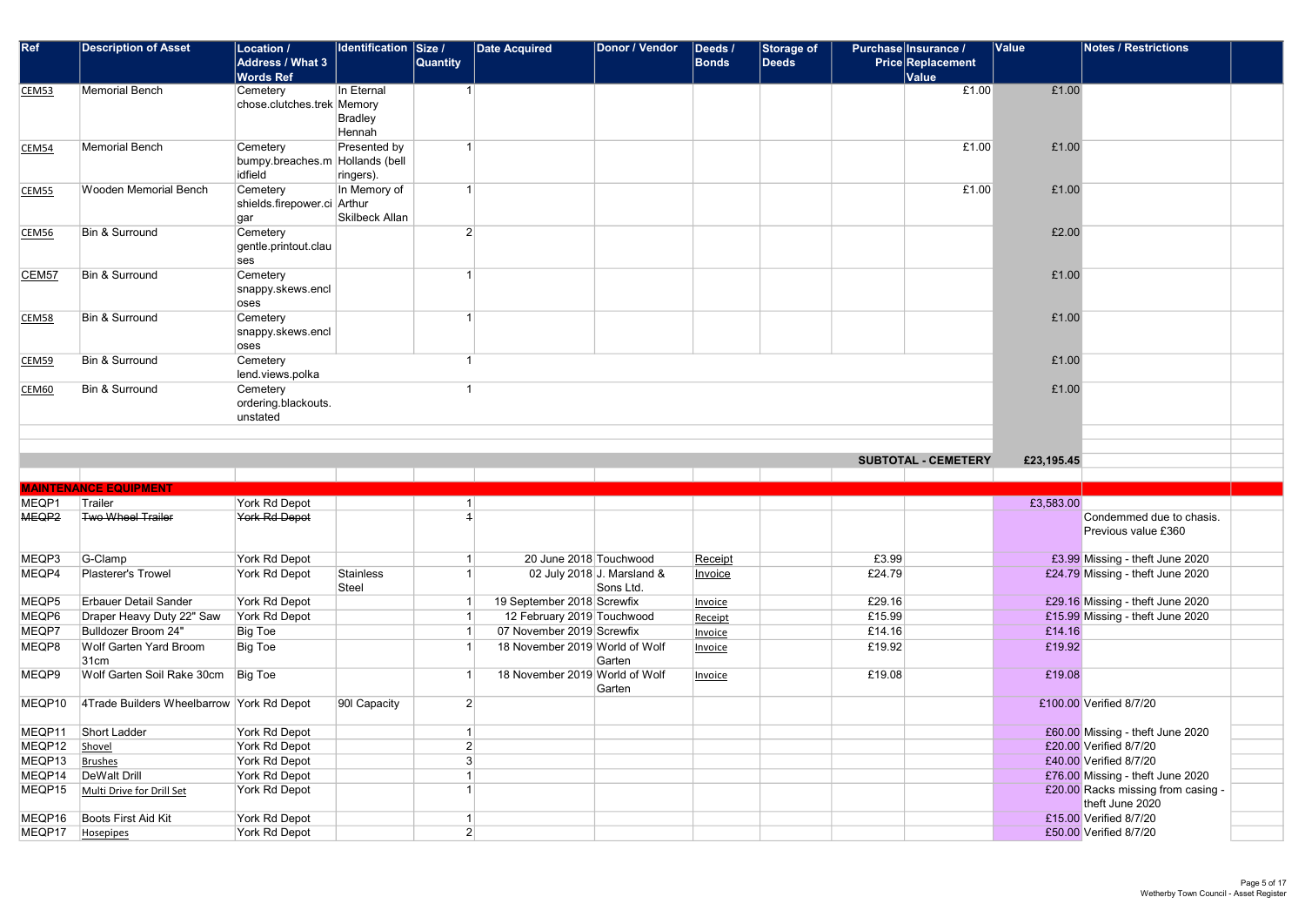| Ref          | <b>Description of Asset</b> | Location /<br><b>Address / What 3</b><br><b>Words Ref</b> | <b>Identification Size /</b>                | <b>Quantity</b> | Date Acquired | Donor / Vendor | Deeds /<br>Bonds | Storage of<br><b>Deeds</b> | Purchase Insurance /<br><b>Price Replacement</b><br>Value | Value |
|--------------|-----------------------------|-----------------------------------------------------------|---------------------------------------------|-----------------|---------------|----------------|------------------|----------------------------|-----------------------------------------------------------|-------|
| CEM53        | Memorial Bench              | Cemetery<br>chose.clutches.trek Memory                    | In Eternal<br><b>Bradley</b><br>Hennah      |                 |               |                |                  |                            | £1.00                                                     | £1.00 |
| CEM54        | Memorial Bench              | Cemetery<br>bumpy.breaches.m<br>idfield                   | Presented by<br>Hollands (bell<br>ringers). |                 |               |                |                  |                            | £1.00                                                     | £1.00 |
| CEM55        | Wooden Memorial Bench       | Cemetery<br>shields.firepower.ci Arthur<br>gar            | In Memory of<br>Skilbeck Allan              |                 |               |                |                  |                            | £1.00                                                     | £1.00 |
| <b>CEM56</b> | Bin & Surround              | Cemetery<br>gentle.printout.clau<br>ses                   |                                             |                 |               |                |                  |                            |                                                           | £2.00 |
| <b>CEM57</b> | Bin & Surround              | Cemetery<br>snappy.skews.encl<br>loses                    |                                             |                 |               |                |                  |                            |                                                           | £1.00 |
| <b>CEM58</b> | Bin & Surround              | Cemetery<br>snappy.skews.encl<br>oses                     |                                             |                 |               |                |                  |                            |                                                           | £1.00 |
| CEM59        | Bin & Surround              | Cemetery<br>lend.views.polka                              |                                             |                 |               |                |                  |                            |                                                           | £1.00 |
| CEM60        | Bin & Surround              | Cemetery<br>ordering.blackouts.<br>unstated               |                                             |                 |               |                |                  |                            |                                                           | £1.00 |

|   | <b>Value</b> | <b>Notes / Restrictions</b>                           |  |
|---|--------------|-------------------------------------------------------|--|
|   |              |                                                       |  |
|   |              |                                                       |  |
| C | £1.00        |                                                       |  |
|   |              |                                                       |  |
|   |              |                                                       |  |
| C | £1.00        |                                                       |  |
|   |              |                                                       |  |
| C | £1.00        |                                                       |  |
|   |              |                                                       |  |
|   |              |                                                       |  |
|   | £2.00        |                                                       |  |
|   |              |                                                       |  |
|   | £1.00        |                                                       |  |
|   |              |                                                       |  |
|   | £1.00        |                                                       |  |
|   |              |                                                       |  |
|   |              |                                                       |  |
|   | £1.00        |                                                       |  |
|   |              |                                                       |  |
|   | £1.00        |                                                       |  |
|   |              |                                                       |  |
|   |              |                                                       |  |
|   |              |                                                       |  |
|   |              |                                                       |  |
| ŕ | £23,195.45   |                                                       |  |
|   |              |                                                       |  |
|   | £3,583.00    |                                                       |  |
|   |              | Condemmed due to chasis.                              |  |
|   |              | Previous value £360                                   |  |
|   |              | £3.99 Missing - theft June 2020                       |  |
|   |              | £24.79 Missing - theft June 2020                      |  |
|   |              |                                                       |  |
|   |              | £29.16 Missing - theft June 2020                      |  |
|   | £14.16       | £15.99 Missing - theft June 2020                      |  |
|   | £19.92       |                                                       |  |
|   |              |                                                       |  |
|   | £19.08       |                                                       |  |
|   |              |                                                       |  |
|   |              | £100.00 Verified 8/7/20                               |  |
|   |              | £60.00 Missing - theft June 2020                      |  |
|   |              | £20.00 Verified 8/7/20                                |  |
|   |              | £40.00 Verified 8/7/20                                |  |
|   |              | £76.00 Missing - theft June 2020                      |  |
|   |              | £20.00 Racks missing from casing -<br>theft June 2020 |  |
|   |              | £15.00 Verified 8/7/20<br>£50.00 Verified 8/7/20      |  |

|                   |                                           |               |              |   |                                |                               |         |        | <b>SUBTOTAL - CEMETERY</b> | £23,195.45 |                                    |
|-------------------|-------------------------------------------|---------------|--------------|---|--------------------------------|-------------------------------|---------|--------|----------------------------|------------|------------------------------------|
|                   |                                           |               |              |   |                                |                               |         |        |                            |            |                                    |
|                   | <b>MAINTENANCE EQUIPMENT</b>              |               |              |   |                                |                               |         |        |                            |            |                                    |
| MEQP1             | Trailer                                   | York Rd Depot |              |   |                                |                               |         |        |                            | £3,583.00  |                                    |
| MEQP <sub>2</sub> | Two Wheel Trailer                         | York Rd Depot |              |   |                                |                               |         |        |                            |            | Condemmed due to chasis.           |
|                   |                                           |               |              |   |                                |                               |         |        |                            |            | Previous value £360                |
|                   |                                           |               |              |   |                                |                               |         |        |                            |            |                                    |
| MEQP3             | G-Clamp                                   | York Rd Depot |              |   | 20 June 2018 Touchwood         |                               | Receipt | £3.99  |                            |            | £3.99 Missing - theft June 2020    |
| MEQP4             | Plasterer's Trowel                        | York Rd Depot | Stainless    |   |                                | 02 July 2018 J. Marsland $\&$ | Invoice | £24.79 |                            |            | £24.79 Missing - theft June 2020   |
|                   |                                           |               | Steel        |   |                                | Sons Ltd.                     |         |        |                            |            |                                    |
| MEQP5             | <b>Erbauer Detail Sander</b>              | York Rd Depot |              |   | 19 September 2018 Screwfix     |                               | Invoice | £29.16 |                            |            | £29.16 Missing - theft June 2020   |
| MEQP6             | Draper Heavy Duty 22" Saw                 | York Rd Depot |              |   | 12 February 2019 Touchwood     |                               | Receipt | £15.99 |                            |            | £15.99 Missing - theft June 2020   |
| MEQP7             | Bulldozer Broom 24"                       | Big Toe       |              |   | 07 November 2019 Screwfix      |                               | Invoice | £14.16 |                            | £14.16     |                                    |
| MEQP8             | Wolf Garten Yard Broom                    | Big Toe       |              |   | 18 November 2019 World of Wolf |                               | Invoice | £19.92 |                            | £19.92     |                                    |
|                   | 31cm                                      |               |              |   |                                | Garten                        |         |        |                            |            |                                    |
| MEQP9             | Wolf Garten Soil Rake 30cm                | Big Toe       |              |   | 18 November 2019 World of Wolf |                               | Invoice | £19.08 |                            | £19.08     |                                    |
|                   |                                           |               |              |   |                                | Garten                        |         |        |                            |            |                                    |
| MEQP10            | 4Trade Builders Wheelbarrow York Rd Depot |               | 90I Capacity | ◠ |                                |                               |         |        |                            |            | £100.00 Verified 8/7/20            |
|                   |                                           |               |              |   |                                |                               |         |        |                            |            |                                    |
| MEQP11            | <b>Short Ladder</b>                       | York Rd Depot |              |   |                                |                               |         |        |                            |            | £60.00 Missing - theft June 2020   |
| MEQP12            | Shovel                                    | York Rd Depot |              |   |                                |                               |         |        |                            |            | £20,00 Verified 8/7/20             |
| MEQP13            | Brushes                                   | York Rd Depot |              |   |                                |                               |         |        |                            |            | £40.00 Verified 8/7/20             |
| MEQP14            | DeWalt Drill                              | York Rd Depot |              |   |                                |                               |         |        |                            |            | £76.00 Missing - theft June 2020   |
| MEQP15            | Multi Drive for Drill Set                 | York Rd Depot |              |   |                                |                               |         |        |                            |            | £20.00 Racks missing from casing - |
|                   |                                           |               |              |   |                                |                               |         |        |                            |            | theft June 2020                    |
| MEQP16            | Boots First Aid Kit                       | York Rd Depot |              |   |                                |                               |         |        |                            |            | £15.00 Verified 8/7/20             |
| MEQP17            | Hosepipes                                 | York Rd Depot |              | ↑ |                                |                               |         |        |                            |            | £50.00 Verified 8/7/20             |
|                   |                                           |               |              |   |                                |                               |         |        |                            |            |                                    |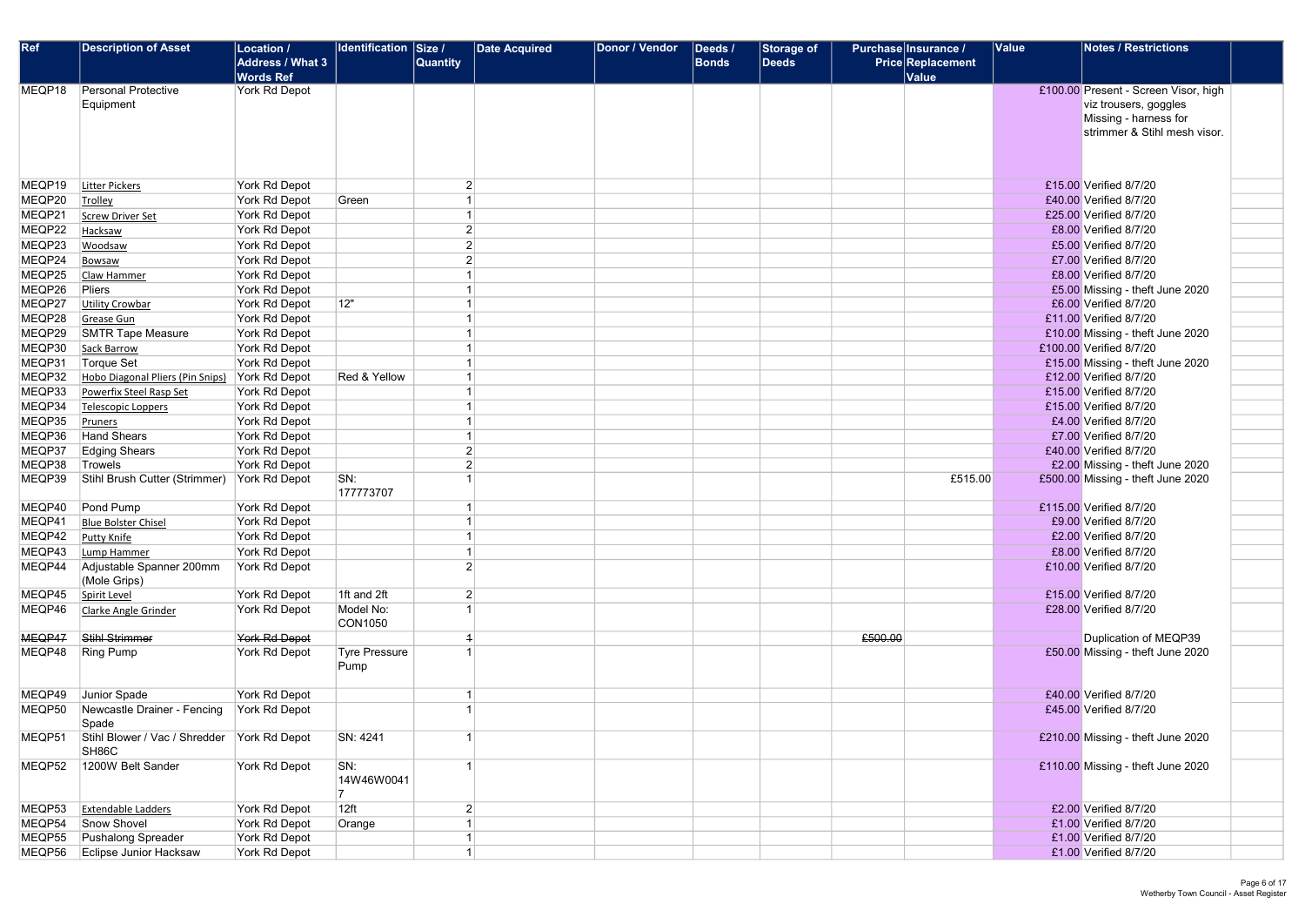| Ref    | <b>Description of Asset</b>              | Location /<br><b>Address / What 3</b><br><b>Words Ref</b> | <b>Identification Size /</b> | <b>Quantity</b> | <b>Date Acquired</b> | Donor / Vendor | Deeds /<br><b>Bonds</b> | <b>Storage of</b><br><b>Deeds</b> | Purchase Insurance /<br><b>Price Replacement</b><br>Value | Value | <b>Notes / Restrictions</b>                                                                                            |
|--------|------------------------------------------|-----------------------------------------------------------|------------------------------|-----------------|----------------------|----------------|-------------------------|-----------------------------------|-----------------------------------------------------------|-------|------------------------------------------------------------------------------------------------------------------------|
| MEQP18 | Personal Protective<br>Equipment         | York Rd Depot                                             |                              |                 |                      |                |                         |                                   |                                                           |       | £100.00 Present - Screen Visor, high<br>viz trousers, goggles<br>Missing - harness for<br>strimmer & Stihl mesh visor. |
| MEQP19 | Litter Pickers                           | York Rd Depot                                             |                              | 2               |                      |                |                         |                                   |                                                           |       | £15.00 Verified 8/7/20                                                                                                 |
| MEQP20 | Trolley                                  | York Rd Depot                                             | Green                        |                 |                      |                |                         |                                   |                                                           |       | £40.00 Verified 8/7/20                                                                                                 |
| MEQP21 | Screw Driver Set                         | York Rd Depot                                             |                              |                 |                      |                |                         |                                   |                                                           |       | £25.00 Verified 8/7/20                                                                                                 |
| MEQP22 | Hacksaw                                  | York Rd Depot                                             |                              | 2               |                      |                |                         |                                   |                                                           |       | £8.00 Verified 8/7/20                                                                                                  |
| MEQP23 | Woodsaw                                  | York Rd Depot                                             |                              | $\overline{2}$  |                      |                |                         |                                   |                                                           |       | £5.00 Verified 8/7/20                                                                                                  |
| MEQP24 | Bowsaw                                   | York Rd Depot                                             |                              | $\overline{2}$  |                      |                |                         |                                   |                                                           |       | £7.00 Verified 8/7/20                                                                                                  |
| MEQP25 | Claw Hammer                              | York Rd Depot                                             |                              |                 |                      |                |                         |                                   |                                                           |       | £8.00 Verified 8/7/20                                                                                                  |
| MEQP26 | Pliers                                   | York Rd Depot                                             |                              |                 |                      |                |                         |                                   |                                                           |       | £5.00 Missing - theft June 2020                                                                                        |
| MEQP27 | Utility Crowbar                          | York Rd Depot                                             | 12"                          |                 |                      |                |                         |                                   |                                                           |       | £6.00 Verified 8/7/20                                                                                                  |
| MEQP28 | Grease Gun                               | York Rd Depot                                             |                              |                 |                      |                |                         |                                   |                                                           |       | £11.00 Verified 8/7/20                                                                                                 |
| MEQP29 | <b>SMTR Tape Measure</b>                 | York Rd Depot                                             |                              |                 |                      |                |                         |                                   |                                                           |       | £10.00 Missing - theft June 2020                                                                                       |
| MEQP30 | Sack Barrow                              | York Rd Depot                                             |                              |                 |                      |                |                         |                                   |                                                           |       | £100.00 Verified 8/7/20                                                                                                |
| MEQP31 | Torque Set                               | York Rd Depot                                             |                              |                 |                      |                |                         |                                   |                                                           |       | £15.00 Missing - theft June 2020                                                                                       |
| MEQP32 | Hobo Diagonal Pliers (Pin Snips)         | York Rd Depot                                             | Red & Yellow                 |                 |                      |                |                         |                                   |                                                           |       | £12.00 Verified 8/7/20                                                                                                 |
| MEQP33 | Powerfix Steel Rasp Set                  | York Rd Depot                                             |                              |                 |                      |                |                         |                                   |                                                           |       | £15.00 Verified 8/7/20                                                                                                 |
| MEQP34 | Telescopic Loppers                       | York Rd Depot                                             |                              |                 |                      |                |                         |                                   |                                                           |       | £15.00 Verified 8/7/20                                                                                                 |
| MEQP35 | Pruners                                  | York Rd Depot                                             |                              |                 |                      |                |                         |                                   |                                                           |       | £4.00 Verified 8/7/20                                                                                                  |
| MEQP36 | Hand Shears                              | York Rd Depot                                             |                              |                 |                      |                |                         |                                   |                                                           |       | £7.00 Verified 8/7/20                                                                                                  |
| MEQP37 | Edging Shears                            | York Rd Depot                                             |                              | 2               |                      |                |                         |                                   |                                                           |       | £40.00 Verified 8/7/20                                                                                                 |
| MEQP38 | Trowels                                  | York Rd Depot                                             |                              | $\overline{2}$  |                      |                |                         |                                   |                                                           |       | £2.00 Missing - theft June 2020                                                                                        |
| MEQP39 | Stihl Brush Cutter (Strimmer)            | York Rd Depot                                             | SN:<br>177773707             |                 |                      |                |                         |                                   | £515.00                                                   |       | £500.00 Missing - theft June 2020                                                                                      |
| MEQP40 | Pond Pump                                | York Rd Depot                                             |                              |                 |                      |                |                         |                                   |                                                           |       | £115.00 Verified 8/7/20                                                                                                |
| MEQP41 | Blue Bolster Chisel                      | York Rd Depot                                             |                              |                 |                      |                |                         |                                   |                                                           |       | £9.00 Verified 8/7/20                                                                                                  |
| MEQP42 | <b>Putty Knife</b>                       | York Rd Depot                                             |                              |                 |                      |                |                         |                                   |                                                           |       | £2.00 Verified 8/7/20                                                                                                  |
| MEQP43 | Lump Hammer                              | York Rd Depot                                             |                              |                 |                      |                |                         |                                   |                                                           |       | £8.00 Verified 8/7/20                                                                                                  |
| MEQP44 | Adjustable Spanner 200mm<br>(Mole Grips) | York Rd Depot                                             |                              | 2               |                      |                |                         |                                   |                                                           |       | £10.00 Verified 8/7/20                                                                                                 |
| MEQP45 | Spirit Level                             | York Rd Depot                                             | 1ft and 2ft                  | $\overline{2}$  |                      |                |                         |                                   |                                                           |       | £15.00 Verified 8/7/20                                                                                                 |
| MEQP46 | Clarke Angle Grinder                     | York Rd Depot                                             | Model No:<br>CON1050         |                 |                      |                |                         |                                   |                                                           |       | £28.00 Verified 8/7/20                                                                                                 |
| MEQP47 | Stihl Strimmer                           | York Rd Depot                                             |                              | $\overline{1}$  |                      |                |                         |                                   | £500.00                                                   |       | Duplication of MEQP39                                                                                                  |
| MEQP48 | <b>Ring Pump</b>                         | York Rd Depot                                             | <b>Tyre Pressure</b><br>Pump |                 |                      |                |                         |                                   |                                                           |       | £50.00 Missing - theft June 2020                                                                                       |
| MEQP49 | Junior Spade                             | York Rd Depot                                             |                              |                 |                      |                |                         |                                   |                                                           |       | £40.00 Verified 8/7/20                                                                                                 |
| MEQP50 | Newcastle Drainer - Fencing<br>Spade     | York Rd Depot                                             |                              |                 |                      |                |                         |                                   |                                                           |       | £45.00 Verified 8/7/20                                                                                                 |
| MEQP51 | Stihl Blower / Vac / Shredder<br>SH86C   | York Rd Depot                                             | SN: 4241                     |                 |                      |                |                         |                                   |                                                           |       | £210.00 Missing - theft June 2020                                                                                      |
| MEQP52 | 1200W Belt Sander                        | York Rd Depot                                             | SN:<br>14W46W0041            |                 |                      |                |                         |                                   |                                                           |       | £110.00 Missing - theft June 2020                                                                                      |
| MEQP53 | <b>Extendable Ladders</b>                | York Rd Depot                                             | 12ft                         | $\overline{2}$  |                      |                |                         |                                   |                                                           |       | £2.00 Verified 8/7/20                                                                                                  |
| MEQP54 | Snow Shovel                              | York Rd Depot                                             | Orange                       |                 |                      |                |                         |                                   |                                                           |       | £1.00 Verified 8/7/20                                                                                                  |
| MEQP55 | Pushalong Spreader                       | York Rd Depot                                             |                              |                 |                      |                |                         |                                   |                                                           |       | £1.00 Verified 8/7/20                                                                                                  |
| MEQP56 | Eclipse Junior Hacksaw                   | York Rd Depot                                             |                              |                 |                      |                |                         |                                   |                                                           |       | £1.00 Verified 8/7/20                                                                                                  |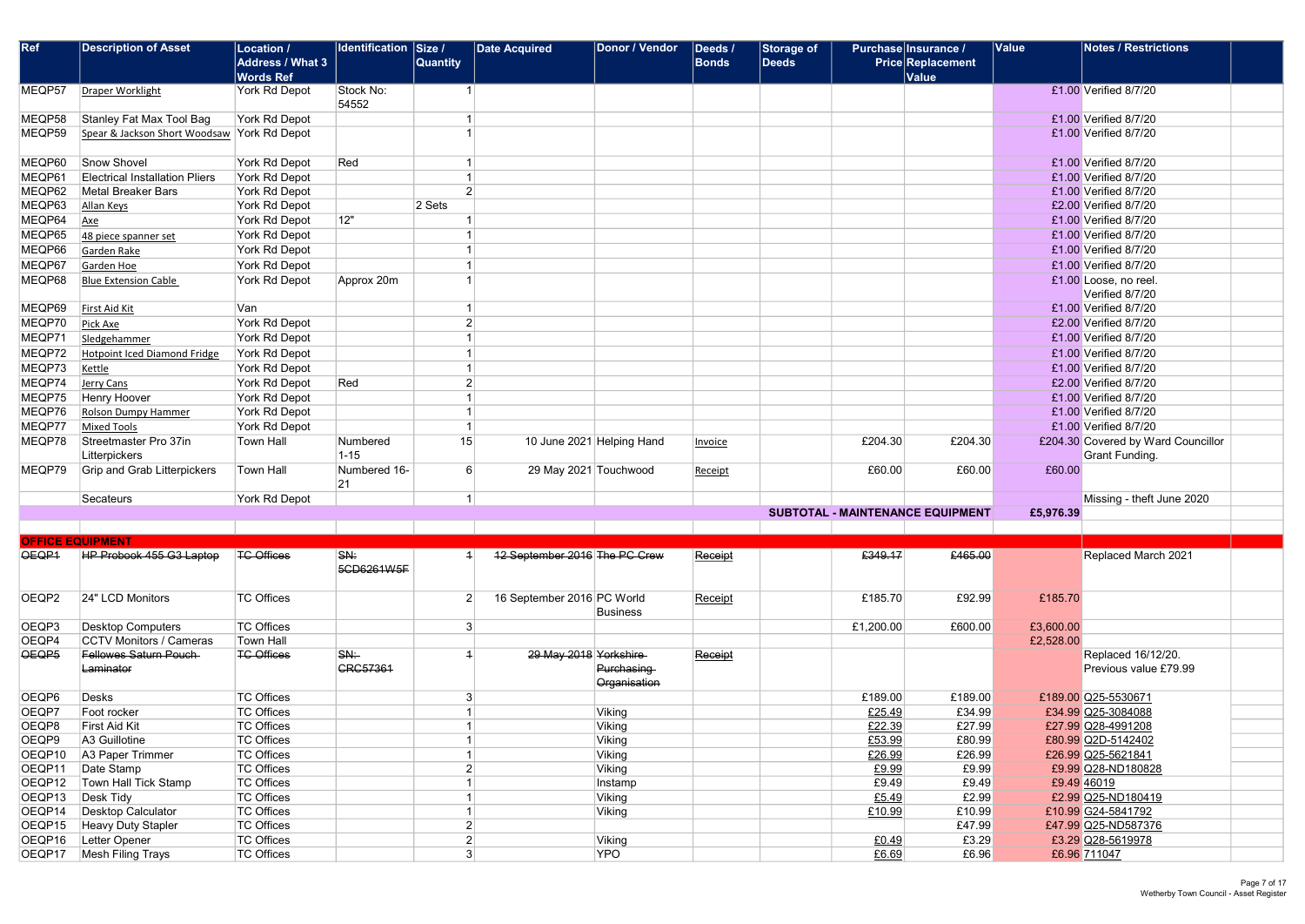| Ref               | <b>Description of Asset</b>                 | <b>Location /</b><br><b>Address / What 3</b><br><b>Words Ref</b> | <b>Identification</b>  | $\vert$ Size /<br><b>Quantity</b> | <b>Date Acquired</b>          | Donor / Vendor             | Deeds /<br>Bonds | Storage of<br><b>Deeds</b> |           | Purchase Insurance /<br><b>Price Replacement</b><br>Value | Value     | <b>Notes / Restrictions</b>                 |
|-------------------|---------------------------------------------|------------------------------------------------------------------|------------------------|-----------------------------------|-------------------------------|----------------------------|------------------|----------------------------|-----------|-----------------------------------------------------------|-----------|---------------------------------------------|
| MEQP57            | Draper Worklight                            | York Rd Depot                                                    | Stock No:<br>54552     |                                   |                               |                            |                  |                            |           |                                                           |           | £1.00 Verified 8/7/20                       |
| MEQP58            | Stanley Fat Max Tool Bag                    | <b>York Rd Depot</b>                                             |                        |                                   |                               |                            |                  |                            |           |                                                           |           | £1.00 Verified 8/7/20                       |
| MEQP59            | Spear & Jackson Short Woodsaw York Rd Depot |                                                                  |                        |                                   |                               |                            |                  |                            |           |                                                           |           | £1.00 Verified 8/7/20                       |
| MEQP60            | Snow Shovel                                 | York Rd Depot                                                    | Red                    |                                   |                               |                            |                  |                            |           |                                                           |           | £1.00 Verified 8/7/20                       |
| MEQP61            | <b>Electrical Installation Pliers</b>       | York Rd Depot                                                    |                        |                                   |                               |                            |                  |                            |           |                                                           |           | £1.00 Verified 8/7/20                       |
| MEQP62            | <b>Metal Breaker Bars</b>                   | York Rd Depot                                                    |                        | $\overline{2}$                    |                               |                            |                  |                            |           |                                                           |           | £1.00 Verified 8/7/20                       |
| MEQP63            | Allan Keys                                  | York Rd Depot                                                    |                        | $ 2 \text{ Sets}$                 |                               |                            |                  |                            |           |                                                           |           | £2.00 Verified 8/7/20                       |
| MEQP64            | Axe                                         | York Rd Depot                                                    | 12"                    |                                   |                               |                            |                  |                            |           |                                                           |           | £1.00 Verified 8/7/20                       |
| MEQP65            | 48 piece spanner set                        | York Rd Depot                                                    |                        |                                   |                               |                            |                  |                            |           |                                                           |           | £1.00 Verified 8/7/20                       |
| MEQP66            | Garden Rake                                 | York Rd Depot                                                    |                        |                                   |                               |                            |                  |                            |           |                                                           |           | £1.00 Verified 8/7/20                       |
| MEQP67            | Garden Hoe                                  | York Rd Depot                                                    |                        |                                   |                               |                            |                  |                            |           |                                                           |           | £1.00 Verified 8/7/20                       |
| MEQP68            | <b>Blue Extension Cable</b>                 | York Rd Depot                                                    | Approx 20m             |                                   |                               |                            |                  |                            |           |                                                           |           | £1.00 Loose, no reel<br>Verified 8/7/20     |
| MEQP69            | First Aid Kit                               | Van                                                              |                        |                                   |                               |                            |                  |                            |           |                                                           |           | £1.00 Verified 8/7/20                       |
| MEQP70            | Pick Axe                                    | York Rd Depot                                                    |                        | $\overline{2}$                    |                               |                            |                  |                            |           |                                                           |           | £2.00 Verified 8/7/20                       |
| MEQP71            | Sledgehammer                                | York Rd Depot                                                    |                        |                                   |                               |                            |                  |                            |           |                                                           |           | £1.00 Verified 8/7/20                       |
| MEQP72            | <b>Hotpoint Iced Diamond Fridge</b>         | York Rd Depot                                                    |                        |                                   |                               |                            |                  |                            |           |                                                           |           | £1.00 Verified 8/7/20                       |
| MEQP73            | Kettle                                      | York Rd Depot                                                    |                        |                                   |                               |                            |                  |                            |           |                                                           |           | £1.00 Verified 8/7/20                       |
| MEQP74            | Jerry Cans                                  | York Rd Depot                                                    | Red                    | $\overline{2}$                    |                               |                            |                  |                            |           |                                                           |           | £2.00 Verified 8/7/20                       |
| MEQP75            | Henry Hoover                                | York Rd Depot                                                    |                        |                                   |                               |                            |                  |                            |           |                                                           |           | £1.00 Verified 8/7/20                       |
| MEQP76            | <b>Rolson Dumpy Hammer</b>                  | York Rd Depot                                                    |                        |                                   |                               |                            |                  |                            |           |                                                           |           | £1.00 Verified 8/7/20                       |
| MEQP77            | Mixed Tools                                 | York Rd Depot                                                    |                        |                                   |                               |                            |                  |                            |           |                                                           |           | £1.00 Verified 8/7/20                       |
| MEQP78            | Streetmaster Pro 37in                       | <b>Town Hall</b>                                                 | Numbered               | 15                                |                               | 10 June 2021 Helping Hand  | Invoice          |                            | £204.30   | £204.30                                                   |           | £204.30 Covered by Ward Councillor          |
|                   | Litterpickers                               |                                                                  | $1 - 15$               |                                   |                               |                            |                  |                            |           |                                                           |           | Grant Funding.                              |
| MEQP79            | Grip and Grab Litterpickers                 | <b>Town Hall</b>                                                 | Numbered 16-<br>21     | 6                                 | 29 May 2021 Touchwood         |                            | Receipt          |                            | £60.00    | £60.00                                                    | £60.00    |                                             |
|                   | Secateurs                                   | York Rd Depot                                                    |                        |                                   |                               |                            |                  |                            |           |                                                           |           | Missing - theft June 2020                   |
|                   |                                             |                                                                  |                        |                                   |                               |                            |                  |                            |           | <b>SUBTOTAL - MAINTENANCE EQUIPMENT</b>                   | £5,976.39 |                                             |
|                   | <b>OFFICE EQUIPMENT</b>                     |                                                                  |                        |                                   |                               |                            |                  |                            |           |                                                           |           |                                             |
| OEQP <sub>1</sub> | <b>HP Probook 455 G3 Laptop</b>             | <b>TC Offices</b>                                                | SN:<br>5CD6261W5F      |                                   | 12 September 2016 The PC Crew |                            | Receipt          |                            | £349.17   | £465.00                                                   |           | Replaced March 2021                         |
| OEQP2             | 24" LCD Monitors                            | <b>TC Offices</b>                                                |                        | $\overline{2}$                    | 16 September 2016 PC World    | <b>Business</b>            | Receipt          |                            | £185.70   | £92.99                                                    | £185.70   |                                             |
| OEQP3             | <b>Desktop Computers</b>                    | <b>TC Offices</b>                                                |                        | 3                                 |                               |                            |                  |                            | £1,200.00 | £600.00                                                   | £3,600.00 |                                             |
| OEQP4             | CCTV Monitors / Cameras                     | Town Hall                                                        |                        |                                   |                               |                            |                  |                            |           |                                                           | £2,528.00 |                                             |
| OEQP <sub>5</sub> | Fellowes Saturn Pouch<br>Laminator          | <b>TC Offices</b>                                                | SN:<br><b>CRC57361</b> | $\overline{1}$                    | 29 May 2018 Yorkshire         | Purchasing<br>Organisation | Receipt          |                            |           |                                                           |           | Replaced 16/12/20.<br>Previous value £79.99 |
| OEQP6             | Desks                                       | <b>TC Offices</b>                                                |                        | 3                                 |                               |                            |                  |                            | £189.00   | £189.00                                                   |           | £189.00 Q25-5530671                         |
| OEQP7             | Foot rocker                                 | <b>TC Offices</b>                                                |                        |                                   |                               | Viking                     |                  |                            | £25.49    | £34.99                                                    |           | £34.99 Q25-3084088                          |
| OEQP8             | First Aid Kit                               | <b>TC Offices</b>                                                |                        |                                   |                               | Viking                     |                  |                            | £22.39    | £27.99                                                    |           | £27.99 Q28-4991208                          |
| OEQP9             | A3 Guillotine                               | <b>TC Offices</b>                                                |                        |                                   |                               | Viking                     |                  |                            | £53.99    | £80.99                                                    |           | £80.99 Q2D-5142402                          |
| OEQP10            | A3 Paper Trimmer                            | <b>TC Offices</b>                                                |                        |                                   |                               | Viking                     |                  |                            | £26.99    | £26.99                                                    |           | £26.99 Q25-5621841                          |
| OEQP11            | Date Stamp                                  | <b>TC Offices</b>                                                |                        | $\overline{2}$                    |                               | Viking                     |                  |                            | £9.99     | £9.99                                                     |           | £9.99 Q28-ND180828                          |
| OEQP12            | <b>Town Hall Tick Stamp</b>                 | <b>TC Offices</b>                                                |                        |                                   |                               | Instamp                    |                  |                            | £9.49     | £9.49                                                     |           | £9.49 46019                                 |
| OEQP13            | Desk Tidy                                   | TC Offices                                                       |                        |                                   |                               | Viking                     |                  |                            | £5.49     | £2.99                                                     |           | £2.99 Q25-ND180419                          |
| OEQP14            | <b>Desktop Calculator</b>                   | TC Offices                                                       |                        |                                   |                               | Viking                     |                  |                            | £10.99    | £10.99                                                    |           | £10.99 G24-5841792                          |
| OEQP15            | <b>Heavy Duty Stapler</b>                   | <b>TC Offices</b>                                                |                        | $\overline{2}$                    |                               |                            |                  |                            |           | £47.99                                                    |           | £47.99 Q25-ND587376                         |
| OEQP16            | Letter Opener                               | TC Offices                                                       |                        | $\overline{2}$                    |                               | Viking                     |                  |                            | £0.49     | £3.29                                                     |           | £3.29 Q28-5619978                           |
| OEQP17            | <b>Mesh Filing Trays</b>                    | TC Offices                                                       |                        | 3 <sup>2</sup>                    |                               | <b>YPO</b>                 |                  |                            | £6.69     | £6.96                                                     |           | £6.96 711047                                |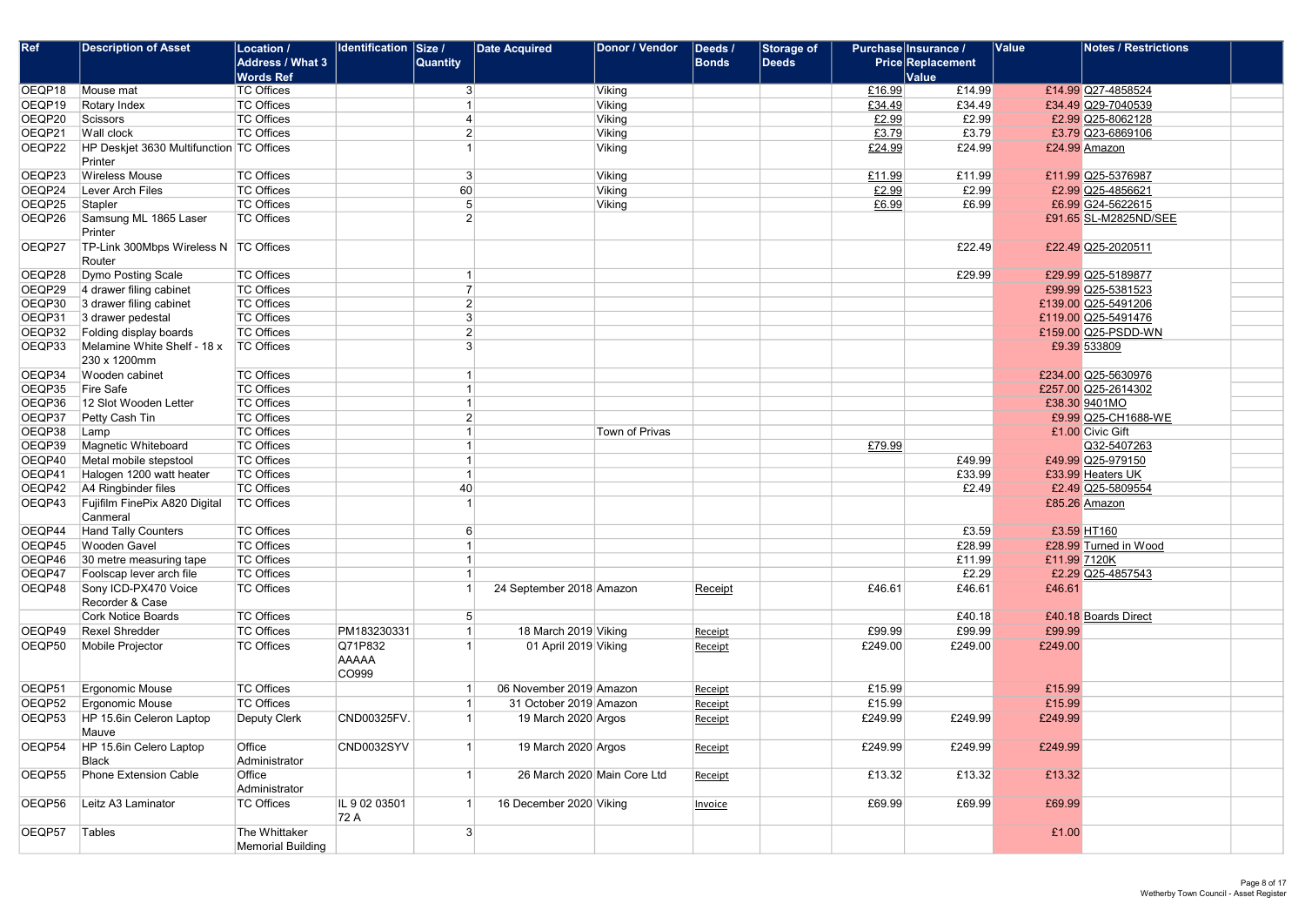| <b>Ref</b> | <b>Description of Asset</b>                       | Location /                         | <b>Identification</b>            | $\left  \text{Size } \right $ | <b>Date Acquired</b>        | Donor / Vendor | Deeds /      | Storage of | Purchase Insurance / |                          | Value   | <b>Notes / Restrictions</b> |
|------------|---------------------------------------------------|------------------------------------|----------------------------------|-------------------------------|-----------------------------|----------------|--------------|------------|----------------------|--------------------------|---------|-----------------------------|
|            |                                                   | <b>Address / What 3</b>            |                                  | Quantity                      |                             |                | <b>Bonds</b> | Deeds      |                      | <b>Price Replacement</b> |         |                             |
|            |                                                   | <b>Words Ref</b>                   |                                  |                               |                             |                |              |            |                      | <b>Value</b>             |         |                             |
| OEQP18     | Mouse mat                                         | TC Offices                         |                                  | 3                             |                             | Viking         |              |            | £16.99               | £14.99                   |         | £14.99 Q27-4858524          |
| OEQP19     | Rotary Index                                      | <b>TC Offices</b>                  |                                  |                               |                             | Viking         |              |            | £34.49               | £34.49                   |         | £34.49 Q29-7040539          |
| OEQP20     | Scissors                                          | TC Offices                         |                                  |                               |                             | Viking         |              |            | £2.99                | £2.99                    |         | £2.99 Q25-8062128           |
| OEQP21     | <b>Wall clock</b>                                 | <b>TC Offices</b>                  |                                  | 2                             |                             | Viking         |              |            | £3.79                | £3.79                    |         | £3.79 Q23-6869106           |
| OEQP22     | HP Deskjet 3630 Multifunction TC Offices          |                                    |                                  |                               |                             | Viking         |              |            | £24.99               | £24.99                   |         | £24.99 Amazon               |
|            | Printer                                           |                                    |                                  |                               |                             |                |              |            |                      |                          |         |                             |
| OEQP23     | <b>Wireless Mouse</b>                             | <b>TC Offices</b>                  |                                  | 3                             |                             | Viking         |              |            | £11.99               | £11.99                   |         | £11.99 Q25-5376987          |
| OEQP24     | Lever Arch Files                                  | TC Offices                         |                                  | 60                            |                             | Viking         |              |            | £2.99                | £2.99                    |         | £2.99 Q25-4856621           |
| OEQP25     | Stapler                                           | <b>TC Offices</b>                  |                                  | 5                             |                             | <b>Viking</b>  |              |            | £6.99                | £6.99                    |         | £6.99 G24-5622615           |
| OEQP26     | Samsung ML 1865 Laser<br>Printer                  | TC Offices                         |                                  | 2                             |                             |                |              |            |                      |                          |         | £91.65 SL-M2825ND/SEE       |
| OEQP27     | TP-Link 300Mbps Wireless N   TC Offices<br>Router |                                    |                                  |                               |                             |                |              |            |                      | £22.49                   |         | £22.49 Q25-2020511          |
| OEQP28     | Dymo Posting Scale                                | TC Offices                         |                                  |                               |                             |                |              |            |                      | £29.99                   |         | £29.99 Q25-5189877          |
| OEQP29     | 4 drawer filing cabinet                           | TC Offices                         |                                  | $\overline{7}$                |                             |                |              |            |                      |                          |         | £99.99 Q25-5381523          |
| OEQP30     | 3 drawer filing cabinet                           | TC Offices                         |                                  | $\overline{2}$                |                             |                |              |            |                      |                          |         | £139.00 Q25-5491206         |
| OEQP31     | 3 drawer pedestal                                 | <b>TC Offices</b>                  |                                  | 3                             |                             |                |              |            |                      |                          |         | £119.00 Q25-5491476         |
| OEQP32     | Folding display boards                            | TC Offices                         |                                  | $\overline{2}$                |                             |                |              |            |                      |                          |         | £159.00 Q25-PSDD-WN         |
| OEQP33     | Melamine White Shelf - 18 x<br>230 x 1200mm       | TC Offices                         |                                  |                               |                             |                |              |            |                      |                          |         | £9.39 533809                |
| OEQP34     | Wooden cabinet                                    | <b>TC Offices</b>                  |                                  |                               |                             |                |              |            |                      |                          |         | £234.00 Q25-5630976         |
| OEQP35     | Fire Safe                                         | TC Offices                         |                                  |                               |                             |                |              |            |                      |                          |         | £257.00 Q25-2614302         |
| OEQP36     | 12 Slot Wooden Letter                             | <b>TC Offices</b>                  |                                  |                               |                             |                |              |            |                      |                          |         | £38.30 9401MO               |
| OEQP37     | Petty Cash Tin                                    | TC Offices                         |                                  | 2                             |                             |                |              |            |                      |                          |         | £9.99 Q25-CH1688-WE         |
| OEQP38     | Lamp                                              | TC Offices                         |                                  |                               |                             | Town of Privas |              |            |                      |                          |         | £1.00 Civic Gift            |
| OEQP39     | Magnetic Whiteboard                               | TC Offices                         |                                  |                               |                             |                |              |            | £79.99               |                          |         | Q32-5407263                 |
| OEQP40     | Metal mobile stepstool                            | <b>TC Offices</b>                  |                                  |                               |                             |                |              |            |                      | £49.99                   |         | £49.99 Q25-979150           |
| OEQP41     | Halogen 1200 watt heater                          | <b>TC Offices</b>                  |                                  |                               |                             |                |              |            |                      | £33.99                   |         | £33.99 Heaters UK           |
| OEQP42     | A4 Ringbinder files                               | <b>TC Offices</b>                  |                                  | 40                            |                             |                |              |            |                      | £2.49                    |         | £2.49 Q25-5809554           |
| OEQP43     | Fujifilm FinePix A820 Digital                     | <b>TC Offices</b>                  |                                  |                               |                             |                |              |            |                      |                          |         | £85.26 Amazon               |
|            | Canmeral                                          |                                    |                                  |                               |                             |                |              |            |                      |                          |         |                             |
|            | OEQP44   Hand Tally Counters                      | TC Offices                         |                                  | 6                             |                             |                |              |            |                      | £3.59                    |         | £3.59 HT160                 |
| OEQP45     | <b>Wooden Gavel</b>                               | <b>TC Offices</b>                  |                                  |                               |                             |                |              |            |                      | £28.99                   |         | £28.99 Turned in Wood       |
| OEQP46     | 30 metre measuring tape                           | TC Offices                         |                                  |                               |                             |                |              |            |                      | £11.99                   |         | £11.99 7120K                |
| OEQP47     | Foolscap lever arch file                          | TC Offices                         |                                  |                               |                             |                |              |            |                      | £2.29                    |         | £2.29 Q25-4857543           |
| OEQP48     | Sony ICD-PX470 Voice<br>Recorder & Case           | TC Offices                         |                                  |                               | 24 September 2018 Amazon    |                | Receipt      |            | £46.61               | £46.61                   | £46.61  |                             |
|            | Cork Notice Boards                                | <b>TC Offices</b>                  |                                  | 5                             |                             |                |              |            |                      | £40.18                   |         | £40.18 Boards Direct        |
| OEQP49     | Rexel Shredder                                    | TC Offices                         | PM183230331                      |                               | 18 March 2019 Viking        |                | Receipt      |            | £99.99               | £99.99                   | £99.99  |                             |
| OEQP50     | Mobile Projector                                  | <b>TC Offices</b>                  | Q71P832<br><b>AAAAA</b><br>CO999 |                               | 01 April 2019 Viking        |                | Receipt      |            | £249.00              | £249.00                  | £249.00 |                             |
| OEQP51     | Ergonomic Mouse                                   | <b>TC Offices</b>                  |                                  |                               | 06 November 2019 Amazon     |                | Receipt      |            | £15.99               |                          | £15.99  |                             |
| OEQP52     | Ergonomic Mouse                                   | <b>TC Offices</b>                  |                                  |                               | 31 October 2019 Amazon      |                | Receipt      |            | £15.99               |                          | £15.99  |                             |
| OEQP53     | HP 15.6in Celeron Laptop                          | Deputy Clerk                       | CND00325FV.                      |                               | 19 March 2020 Argos         |                | Receipt      |            | £249.99              | £249.99                  | £249.99 |                             |
| OEQP54     | Mauve<br>HP 15.6in Celero Laptop                  | Office                             | CND0032SYV                       |                               | 19 March 2020 Argos         |                | Receipt      |            | £249.99              | £249.99                  | £249.99 |                             |
| OEQP55     | <b>Black</b><br><b>Phone Extension Cable</b>      | Administrator<br>Office            |                                  |                               | 26 March 2020 Main Core Ltd |                | Receipt      |            | £13.32               | £13.32                   | £13.32  |                             |
| OEQP56     | Leitz A3 Laminator                                | Administrator<br><b>TC Offices</b> | IL 9 02 03501                    |                               | 16 December 2020 Viking     |                | Invoice      |            | £69.99               | £69.99                   | £69.99  |                             |
|            |                                                   | The Whittaker                      | 72 A                             | 3                             |                             |                |              |            |                      |                          |         |                             |
| OEQP57     | Tables                                            | <b>Memorial Building</b>           |                                  |                               |                             |                |              |            |                      |                          | £1.00   |                             |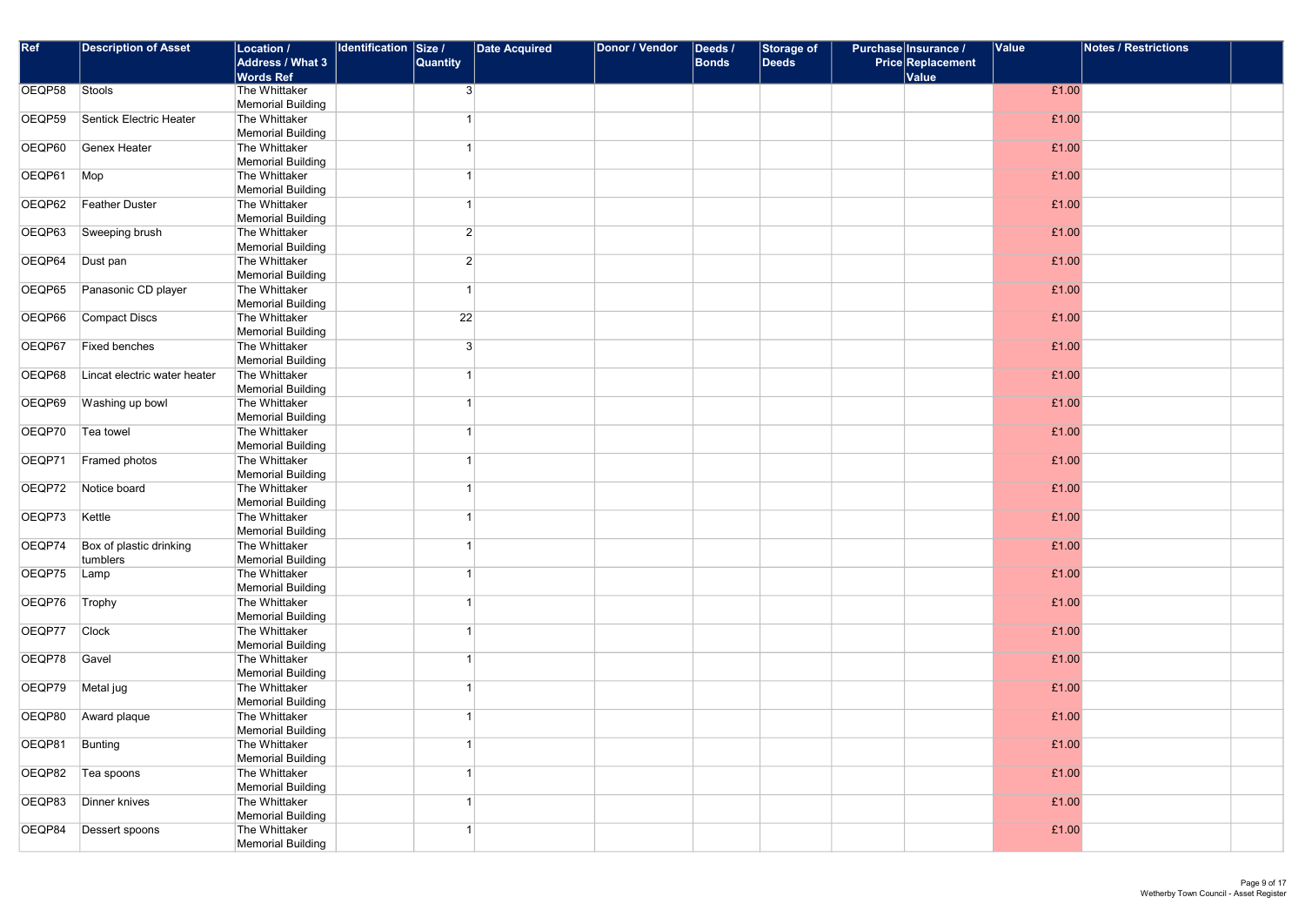| <b>Ref</b> | <b>Description of Asset</b>  | <b>Location /</b><br><b>Address / What 3</b> | <b>Identification Size /</b> | <b>Quantity</b> | <b>Date Acquired</b> | Donor / Vendor | Deeds /<br>Bonds | Storage of<br>Deeds | Purchase Insurance /<br>Price Replacement | Value | <b>Notes / Restrictions</b> |
|------------|------------------------------|----------------------------------------------|------------------------------|-----------------|----------------------|----------------|------------------|---------------------|-------------------------------------------|-------|-----------------------------|
|            |                              | <b>Words Ref</b>                             |                              |                 |                      |                |                  |                     | <b>Value</b>                              |       |                             |
| OEQP58     | Stools                       | The Whittaker                                |                              | 3 <sup>2</sup>  |                      |                |                  |                     |                                           | £1.00 |                             |
|            |                              | <b>Memorial Building</b>                     |                              |                 |                      |                |                  |                     |                                           |       |                             |
| OEQP59     | Sentick Electric Heater      | The Whittaker                                |                              |                 |                      |                |                  |                     |                                           | £1.00 |                             |
|            |                              | <b>Memorial Building</b>                     |                              |                 |                      |                |                  |                     |                                           |       |                             |
| OEQP60     | Genex Heater                 | The Whittaker                                |                              |                 |                      |                |                  |                     |                                           | £1.00 |                             |
|            |                              | <b>Memorial Building</b>                     |                              |                 |                      |                |                  |                     |                                           |       |                             |
| OEQP61     | Mop                          | The Whittaker<br><b>Memorial Building</b>    |                              |                 |                      |                |                  |                     |                                           | £1.00 |                             |
| OEQP62     | Feather Duster               | The Whittaker                                |                              |                 |                      |                |                  |                     |                                           | £1.00 |                             |
|            |                              | <b>Memorial Building</b>                     |                              |                 |                      |                |                  |                     |                                           |       |                             |
| OEQP63     | Sweeping brush               | The Whittaker                                |                              | $\overline{2}$  |                      |                |                  |                     |                                           | £1.00 |                             |
|            |                              | <b>Memorial Building</b>                     |                              |                 |                      |                |                  |                     |                                           |       |                             |
| OEQP64     | Dust pan                     | The Whittaker                                |                              | $\mathbf{2}$    |                      |                |                  |                     |                                           | £1.00 |                             |
|            |                              | <b>Memorial Building</b>                     |                              |                 |                      |                |                  |                     |                                           |       |                             |
| OEQP65     | Panasonic CD player          | The Whittaker                                |                              |                 |                      |                |                  |                     |                                           | £1.00 |                             |
|            |                              | <b>Memorial Building</b>                     |                              |                 |                      |                |                  |                     |                                           |       |                             |
| OEQP66     | Compact Discs                | The Whittaker                                |                              | 22              |                      |                |                  |                     |                                           | £1.00 |                             |
|            |                              | <b>Memorial Building</b><br>The Whittaker    |                              |                 |                      |                |                  |                     |                                           |       |                             |
| OEQP67     | <b>Fixed benches</b>         | Memorial Building                            |                              | 3               |                      |                |                  |                     |                                           | £1.00 |                             |
| OEQP68     | Lincat electric water heater | The Whittaker                                |                              |                 |                      |                |                  |                     |                                           | £1.00 |                             |
|            |                              | <b>Memorial Building</b>                     |                              |                 |                      |                |                  |                     |                                           |       |                             |
| OEQP69     | Washing up bowl              | The Whittaker                                |                              |                 |                      |                |                  |                     |                                           | £1.00 |                             |
|            |                              | <b>Memorial Building</b>                     |                              |                 |                      |                |                  |                     |                                           |       |                             |
| OEQP70     | Tea towel                    | The Whittaker                                |                              |                 |                      |                |                  |                     |                                           | £1.00 |                             |
|            |                              | <b>Memorial Building</b>                     |                              |                 |                      |                |                  |                     |                                           |       |                             |
| OEQP71     | Framed photos                | The Whittaker                                |                              |                 |                      |                |                  |                     |                                           | £1.00 |                             |
|            |                              | <b>Memorial Building</b>                     |                              |                 |                      |                |                  |                     |                                           |       |                             |
| OEQP72     | Notice board                 | The Whittaker                                |                              |                 |                      |                |                  |                     |                                           | £1.00 |                             |
|            |                              | <b>Memorial Building</b><br>The Whittaker    |                              |                 |                      |                |                  |                     |                                           |       |                             |
| OEQP73     | Kettle                       | Memorial Building                            |                              |                 |                      |                |                  |                     |                                           | £1.00 |                             |
| OEQP74     | Box of plastic drinking      | The Whittaker                                |                              |                 |                      |                |                  |                     |                                           | £1.00 |                             |
|            | tumblers                     | <b>Memorial Building</b>                     |                              |                 |                      |                |                  |                     |                                           |       |                             |
| OEQP75     | Lamp                         | The Whittaker                                |                              |                 |                      |                |                  |                     |                                           | £1.00 |                             |
|            |                              | <b>Memorial Building</b>                     |                              |                 |                      |                |                  |                     |                                           |       |                             |
| OEQP76     | Trophy                       | The Whittaker                                |                              |                 |                      |                |                  |                     |                                           | £1.00 |                             |
|            |                              | <b>Memorial Building</b>                     |                              |                 |                      |                |                  |                     |                                           |       |                             |
| OEQP77     | $ $ Clock                    | The Whittaker                                |                              |                 |                      |                |                  |                     |                                           | £1.00 |                             |
|            |                              | <b>Memorial Building</b>                     |                              |                 |                      |                |                  |                     |                                           |       |                             |
| OEQP78     | Gavel                        | The Whittaker                                |                              |                 |                      |                |                  |                     |                                           | £1.00 |                             |
| OEQP79     | Metal jug                    | <b>Memorial Building</b><br>The Whittaker    |                              |                 |                      |                |                  |                     |                                           | £1.00 |                             |
|            |                              | <b>Memorial Building</b>                     |                              |                 |                      |                |                  |                     |                                           |       |                             |
| OEQP80     | Award plaque                 | The Whittaker                                |                              |                 |                      |                |                  |                     |                                           | £1.00 |                             |
|            |                              | <b>Memorial Building</b>                     |                              |                 |                      |                |                  |                     |                                           |       |                             |
| OEQP81     | Bunting                      | The Whittaker                                |                              |                 |                      |                |                  |                     |                                           | £1.00 |                             |
|            |                              | <b>Memorial Building</b>                     |                              |                 |                      |                |                  |                     |                                           |       |                             |
| OEQP82     | Tea spoons                   | The Whittaker                                |                              |                 |                      |                |                  |                     |                                           | £1.00 |                             |
|            |                              | <b>Memorial Building</b>                     |                              |                 |                      |                |                  |                     |                                           |       |                             |
| OEQP83     | Dinner knives                | The Whittaker                                |                              |                 |                      |                |                  |                     |                                           | £1.00 |                             |
|            |                              | <b>Memorial Building</b>                     |                              |                 |                      |                |                  |                     |                                           |       |                             |
| OEQP84     | Dessert spoons               | The Whittaker<br><b>Memorial Building</b>    |                              |                 |                      |                |                  |                     |                                           | £1.00 |                             |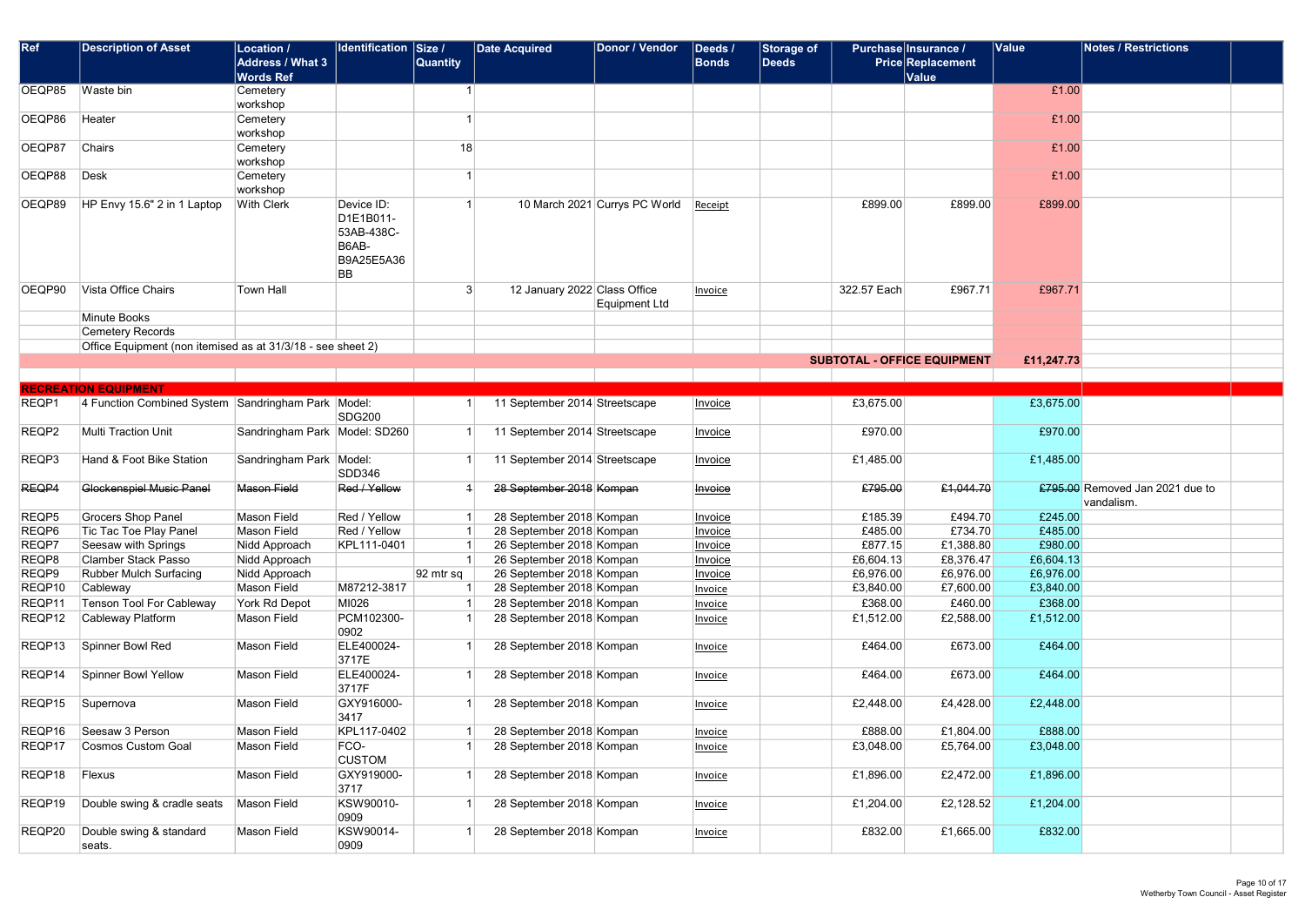| Ref    | <b>Description of Asset</b>                                 | Location /<br><b>Address / What 3</b><br><b>Words Ref</b> | <b>Identification</b>                                              | $\vert$ Size /<br><b>Quantity</b> | <b>Date Acquired</b>          | Donor / Vendor                | Deeds /<br><b>Bonds</b> | <b>Storage of</b><br><b>Deeds</b> |             | <b>Purchase Insurance /</b><br><b>Price Replacement</b><br>Value | <b>Value</b> | <b>Notes / Restrictions</b>                   |  |
|--------|-------------------------------------------------------------|-----------------------------------------------------------|--------------------------------------------------------------------|-----------------------------------|-------------------------------|-------------------------------|-------------------------|-----------------------------------|-------------|------------------------------------------------------------------|--------------|-----------------------------------------------|--|
| OEQP85 | Waste bin                                                   | Cemetery                                                  |                                                                    |                                   |                               |                               |                         |                                   |             |                                                                  | £1.00        |                                               |  |
|        |                                                             | workshop                                                  |                                                                    |                                   |                               |                               |                         |                                   |             |                                                                  |              |                                               |  |
| OEQP86 | Heater                                                      | Cemetery<br>workshop                                      |                                                                    |                                   |                               |                               |                         |                                   |             |                                                                  | £1.00        |                                               |  |
| OEQP87 | Chairs                                                      | Cemetery                                                  |                                                                    | 18                                |                               |                               |                         |                                   |             |                                                                  | £1.00        |                                               |  |
|        |                                                             | workshop                                                  |                                                                    |                                   |                               |                               |                         |                                   |             |                                                                  |              |                                               |  |
| OEQP88 | $\vert$ Desk                                                | Cemetery<br>workshop                                      |                                                                    |                                   |                               |                               |                         |                                   |             |                                                                  | £1.00        |                                               |  |
| OEQP89 | HP Envy 15.6" 2 in 1 Laptop                                 | <b>With Clerk</b>                                         | Device ID:<br>D1E1B011-<br>53AB-438C-<br>B6AB-<br>B9A25E5A36<br>BB |                                   |                               | 10 March 2021 Currys PC World | Receipt                 |                                   | £899.00     | £899.00                                                          | £899.00      |                                               |  |
| OEQP90 | Vista Office Chairs                                         | <b>Town Hall</b>                                          |                                                                    | 3                                 | 12 January 2022 Class Office  | Equipment Ltd                 | Invoice                 |                                   | 322.57 Each | £967.71                                                          | £967.71      |                                               |  |
|        | Minute Books                                                |                                                           |                                                                    |                                   |                               |                               |                         |                                   |             |                                                                  |              |                                               |  |
|        | Cemetery Records                                            |                                                           |                                                                    |                                   |                               |                               |                         |                                   |             |                                                                  |              |                                               |  |
|        | Office Equipment (non itemised as at 31/3/18 - see sheet 2) |                                                           |                                                                    |                                   |                               |                               |                         |                                   |             |                                                                  |              |                                               |  |
|        |                                                             |                                                           |                                                                    |                                   |                               |                               |                         |                                   |             | <b>SUBTOTAL - OFFICE EQUIPMENT</b>                               | £11,247.73   |                                               |  |
|        | <b>RECREATION EQUIPMENT</b>                                 |                                                           |                                                                    |                                   |                               |                               |                         |                                   |             |                                                                  |              |                                               |  |
| REQP1  | 4 Function Combined System Sandringham Park Model:          |                                                           |                                                                    |                                   | 11 September 2014 Streetscape |                               | Invoice                 |                                   | £3,675.00   |                                                                  | £3,675.00    |                                               |  |
|        |                                                             |                                                           | <b>SDG200</b>                                                      |                                   |                               |                               |                         |                                   |             |                                                                  |              |                                               |  |
| REQP2  | <b>Multi Traction Unit</b>                                  | Sandringham Park   Model: SD260                           |                                                                    |                                   | 11 September 2014 Streetscape |                               | Invoice                 |                                   | £970.00     |                                                                  | £970.00      |                                               |  |
| REQP3  | Hand & Foot Bike Station                                    | Sandringham Park   Model:                                 | <b>SDD346</b>                                                      |                                   | 11 September 2014 Streetscape |                               | Invoice                 |                                   | £1,485.00   |                                                                  | £1,485.00    |                                               |  |
| REQP4  | Glockenspiel Music Panel                                    | <b>Mason Field</b>                                        | Red / Yellow                                                       | $\overline{1}$                    | 28 September 2018 Kompan      |                               | <b>Invoice</b>          |                                   | £795.00     | £1,044.70                                                        |              | £795.00 Removed Jan 2021 due to<br>vandalism. |  |
| REQP5  | Grocers Shop Panel                                          | <b>Mason Field</b>                                        | Red / Yellow                                                       |                                   | 28 September 2018 Kompan      |                               | Invoice                 |                                   | £185.39     | £494.70                                                          | £245.00      |                                               |  |
| REQP6  | Tic Tac Toe Play Panel                                      | Mason Field                                               | Red / Yellow                                                       |                                   | 28 September 2018 Kompan      |                               | Invoice                 |                                   | £485.00     | £734.70                                                          | £485.00      |                                               |  |
| REQP7  | Seesaw with Springs                                         | Nidd Approach                                             | KPL111-0401                                                        |                                   | 26 September 2018 Kompan      |                               | Invoice                 |                                   | £877.15     | £1,388.80                                                        | £980.00      |                                               |  |
| REQP8  | Clamber Stack Passo                                         | Nidd Approach                                             |                                                                    |                                   | 26 September 2018 Kompan      |                               | Invoice                 |                                   | £6,604.13   | £8,376.47                                                        | £6,604.13    |                                               |  |
| REQP9  | <b>Rubber Mulch Surfacing</b>                               | Nidd Approach                                             |                                                                    | 92 mtr sq                         | 26 September 2018 Kompan      |                               | Invoice                 |                                   | £6,976.00   | £6,976.00                                                        | £6,976.00    |                                               |  |
| REQP10 | Cableway                                                    | Mason Field                                               | M87212-3817                                                        |                                   | 28 September 2018 Kompan      |                               | Invoice                 |                                   | £3,840.00   | £7,600.00                                                        | £3,840.00    |                                               |  |
| REQP11 | <b>Tenson Tool For Cableway</b>                             | York Rd Depot                                             | MI026                                                              |                                   | 28 September 2018 Kompan      |                               | Invoice                 |                                   | £368.00     | £460.00                                                          | £368.00      |                                               |  |
| REQP12 | Cableway Platform                                           | <b>Mason Field</b>                                        | PCM102300-<br>0902                                                 |                                   | 28 September 2018 Kompan      |                               | Invoice                 |                                   | £1,512.00   | £2,588.00                                                        | £1,512.00    |                                               |  |
| REQP13 | Spinner Bowl Red                                            | <b>Mason Field</b>                                        | ELE400024-<br>3717E                                                |                                   | 28 September 2018 Kompan      |                               | Invoice                 |                                   | £464.00     | £673.00                                                          | £464.00      |                                               |  |
| REQP14 | Spinner Bowl Yellow                                         | <b>Mason Field</b>                                        | ELE400024-<br>3717F                                                |                                   | 28 September 2018 Kompan      |                               | Invoice                 |                                   | £464.00     | £673.00                                                          | £464.00      |                                               |  |
| REQP15 | Supernova                                                   | <b>Mason Field</b>                                        | GXY916000-<br>3417                                                 |                                   | 28 September 2018 Kompan      |                               | Invoice                 |                                   | £2,448.00   | £4,428.00                                                        | £2,448.00    |                                               |  |
| REQP16 | Seesaw 3 Person                                             | <b>Mason Field</b>                                        | KPL117-0402                                                        |                                   | 28 September 2018 Kompan      |                               | Invoice                 |                                   | £888.00     | £1,804.00                                                        | £888.00      |                                               |  |
| REQP17 | Cosmos Custom Goal                                          | Mason Field                                               | FCO-<br><b>CUSTOM</b>                                              |                                   | 28 September 2018 Kompan      |                               | Invoice                 |                                   | £3,048.00   | £5,764.00                                                        | £3,048.00    |                                               |  |
| REQP18 | Flexus                                                      | Mason Field                                               | GXY919000-<br>3717                                                 |                                   | 28 September 2018 Kompan      |                               | Invoice                 |                                   | £1,896.00   | £2,472.00                                                        | £1,896.00    |                                               |  |
| REQP19 | Double swing & cradle seats                                 | <b>Mason Field</b>                                        | KSW90010-<br>0909                                                  |                                   | 28 September 2018 Kompan      |                               | Invoice                 |                                   | £1,204.00   | £2,128.52                                                        | £1,204.00    |                                               |  |
| REQP20 | Double swing & standard<br>seats.                           | <b>Mason Field</b>                                        | KSW90014-<br>0909                                                  |                                   | 28 September 2018 Kompan      |                               | Invoice                 |                                   | £832.00     | £1,665.00                                                        | £832.00      |                                               |  |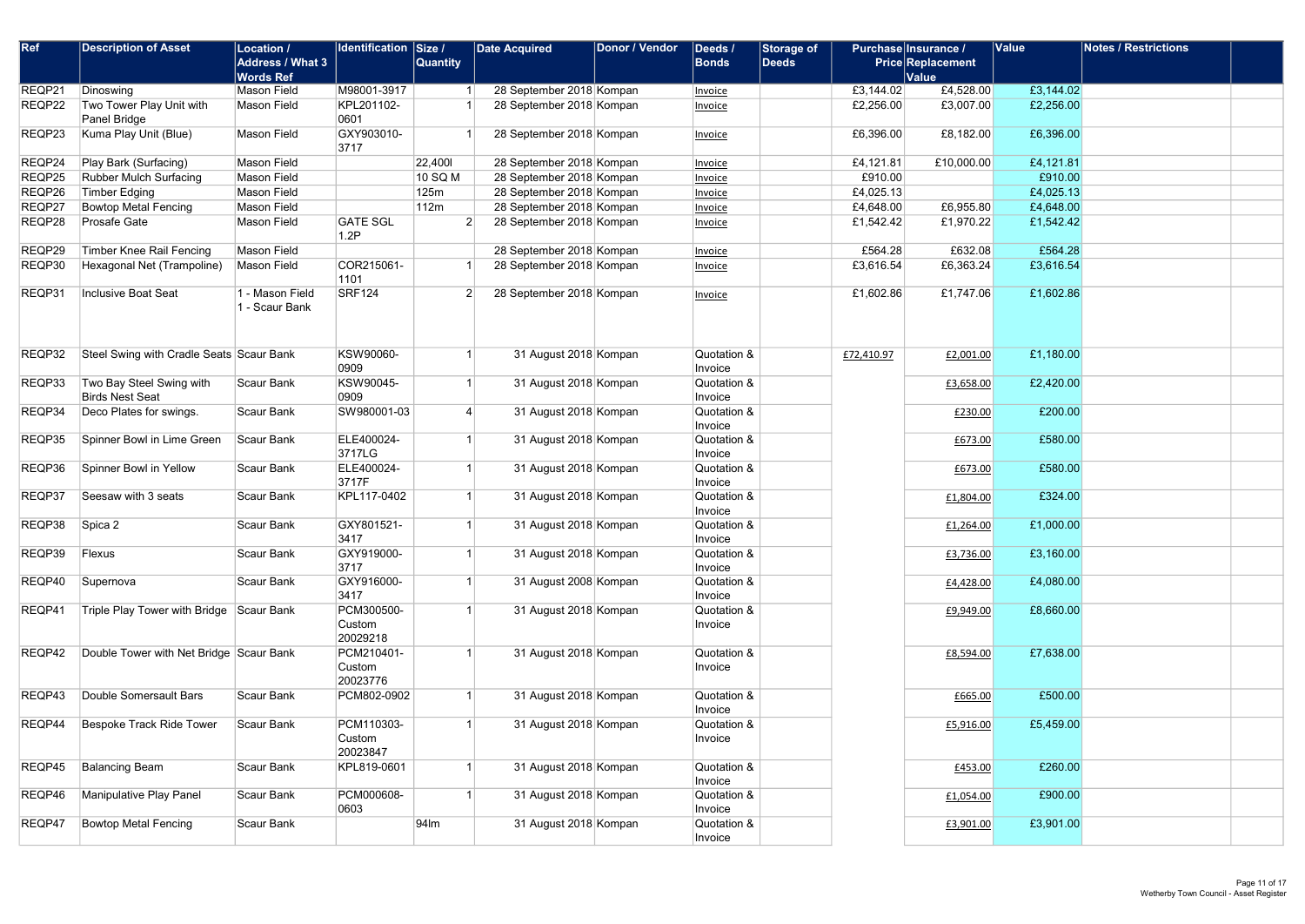| Ref    | <b>Description of Asset</b>                        | <b>Location /</b><br><b>Address / What 3</b><br><b>Words Ref</b> | Identification Size /            | <b>Quantity</b>      | <b>Date Acquired</b>     | Donor / Vendor | Deeds /<br>Bonds       | <b>Storage of</b><br><b>Deeds</b> | <b>Purchase Insurance /</b> | <b>Price Replacement</b><br><b>Value</b> | Value     | <b>Notes / Restrictions</b> |
|--------|----------------------------------------------------|------------------------------------------------------------------|----------------------------------|----------------------|--------------------------|----------------|------------------------|-----------------------------------|-----------------------------|------------------------------------------|-----------|-----------------------------|
| REQP21 | Dinoswing                                          | Mason Field                                                      | M98001-3917                      | $\vert$ 1            | 28 September 2018 Kompan |                | Invoice                |                                   | £3,144.02                   | £4,528.00                                | £3,144.02 |                             |
| REQP22 | Two Tower Play Unit with<br>Panel Bridge           | Mason Field                                                      | KPL201102-<br>0601               |                      | 28 September 2018 Kompan |                | Invoice                |                                   | £2,256.00                   | £3,007.00                                | £2,256.00 |                             |
| REQP23 | Kuma Play Unit (Blue)                              | <b>Mason Field</b>                                               | GXY903010-<br>3717               |                      | 28 September 2018 Kompan |                | Invoice                |                                   | £6,396.00                   | £8,182.00                                | £6,396.00 |                             |
| REQP24 | Play Bark (Surfacing)                              | <b>Mason Field</b>                                               |                                  | 22,400               | 28 September 2018 Kompan |                | Invoice                |                                   | £4,121.81                   | £10,000.00                               | £4,121.81 |                             |
| REQP25 | Rubber Mulch Surfacing                             | Mason Field                                                      |                                  | 10 SQ M              | 28 September 2018 Kompan |                | Invoice                |                                   | £910.00                     |                                          | £910.00   |                             |
| REQP26 | <b>Timber Edging</b>                               | Mason Field                                                      |                                  | 125m                 | 28 September 2018 Kompan |                | Invoice                |                                   | £4,025.13                   |                                          | £4,025.13 |                             |
| REQP27 | <b>Bowtop Metal Fencing</b>                        | Mason Field                                                      |                                  | 112m                 | 28 September 2018 Kompan |                | Invoice                |                                   | £4,648.00                   | £6,955.80                                | £4,648.00 |                             |
| REQP28 | Prosafe Gate                                       | <b>Mason Field</b>                                               | <b>GATE SGL</b><br>1.2P          | $\vert$ 2            | 28 September 2018 Kompan |                | Invoice                |                                   | £1,542.42                   | £1,970.22                                | £1,542.42 |                             |
| REQP29 | <b>Timber Knee Rail Fencing</b>                    | Mason Field                                                      |                                  |                      | 28 September 2018 Kompan |                | Invoice                |                                   | £564.28                     | £632.08                                  | £564.28   |                             |
| REQP30 | Hexagonal Net (Trampoline)                         | Mason Field                                                      | COR215061-<br>1101               |                      | 28 September 2018 Kompan |                | Invoice                |                                   | £3,616.54                   | £6,363.24                                | £3,616.54 |                             |
| REQP31 | Inclusive Boat Seat                                | 1 - Mason Field<br>1 - Scaur Bank                                | <b>SRF124</b>                    | $\vert$ 2            | 28 September 2018 Kompan |                | Invoice                |                                   | £1,602.86                   | £1,747.06                                | £1,602.86 |                             |
| REQP32 | Steel Swing with Cradle Seats Scaur Bank           |                                                                  | KSW90060-<br>0909                |                      | 31 August 2018 Kompan    |                | Quotation &<br>Invoice |                                   | £72,410.97                  | £2,001.00                                | £1,180.00 |                             |
| REQP33 | Two Bay Steel Swing with<br><b>Birds Nest Seat</b> | Scaur Bank                                                       | KSW90045-<br>0909                |                      | 31 August 2018 Kompan    |                | Quotation &<br>Invoice |                                   |                             | £3,658.00                                | £2,420.00 |                             |
| REQP34 | Deco Plates for swings.                            | Scaur Bank                                                       | SW980001-03                      |                      | 31 August 2018 Kompan    |                | Quotation &<br>Invoice |                                   |                             | £230.00                                  | £200.00   |                             |
| REQP35 | Spinner Bowl in Lime Green                         | Scaur Bank                                                       | ELE400024-<br>3717LG             |                      | 31 August 2018 Kompan    |                | Quotation &<br>Invoice |                                   |                             | £673.00                                  | £580.00   |                             |
| REQP36 | Spinner Bowl in Yellow                             | <b>Scaur Bank</b>                                                | ELE400024-<br>3717F              |                      | 31 August 2018 Kompan    |                | Quotation &<br>Invoice |                                   |                             | £673.00                                  | £580.00   |                             |
| REQP37 | Seesaw with 3 seats                                | Scaur Bank                                                       | KPL117-0402                      |                      | 31 August 2018 Kompan    |                | Quotation &<br>Invoice |                                   |                             | £1,804.00                                | £324.00   |                             |
| REQP38 | Spica 2                                            | <b>Scaur Bank</b>                                                | GXY801521-<br>3417               | $\blacktriangleleft$ | 31 August 2018 Kompan    |                | Quotation &<br>Invoice |                                   |                             | £1,264.00                                | £1,000.00 |                             |
| REQP39 | Flexus                                             | <b>Scaur Bank</b>                                                | GXY919000-<br>3717               |                      | 31 August 2018 Kompan    |                | Quotation &<br>Invoice |                                   |                             | £3,736.00                                | £3,160.00 |                             |
| REQP40 | Supernova                                          | Scaur Bank                                                       | GXY916000-<br>3417               |                      | 31 August 2008 Kompan    |                | Quotation &<br>Invoice |                                   |                             | £4,428.00                                | £4,080.00 |                             |
| REQP41 | Triple Play Tower with Bridge Scaur Bank           |                                                                  | PCM300500-<br>Custom<br>20029218 |                      | 31 August 2018 Kompan    |                | Quotation &<br>Invoice |                                   |                             | £9,949.00                                | £8,660.00 |                             |
| REQP42 | Double Tower with Net Bridge Scaur Bank            |                                                                  | PCM210401-<br>Custom<br>20023776 |                      | 31 August 2018 Kompan    |                | Quotation &<br>Invoice |                                   |                             | £8,594.00                                | £7,638.00 |                             |
| REQP43 | Double Somersault Bars                             | Scaur Bank                                                       | PCM802-0902                      |                      | 31 August 2018 Kompan    |                | Quotation &<br>Invoice |                                   |                             | £665.00                                  | £500.00   |                             |
| REQP44 | Bespoke Track Ride Tower                           | Scaur Bank                                                       | PCM110303-<br>Custom<br>20023847 |                      | 31 August 2018 Kompan    |                | Quotation &<br>Invoice |                                   |                             | £5,916.00                                | £5,459.00 |                             |
| REQP45 | <b>Balancing Beam</b>                              | <b>Scaur Bank</b>                                                | KPL819-0601                      |                      | 31 August 2018 Kompan    |                | Quotation &<br>Invoice |                                   |                             | £453.00                                  | £260.00   |                             |
| REQP46 | Manipulative Play Panel                            | Scaur Bank                                                       | PCM000608-<br>0603               |                      | 31 August 2018 Kompan    |                | Quotation &<br>Invoice |                                   |                             | £1,054.00                                | £900.00   |                             |
| REQP47 | <b>Bowtop Metal Fencing</b>                        | Scaur Bank                                                       |                                  | 94lm                 | 31 August 2018 Kompan    |                | Quotation &<br>Invoice |                                   |                             | £3,901.00                                | £3,901.00 |                             |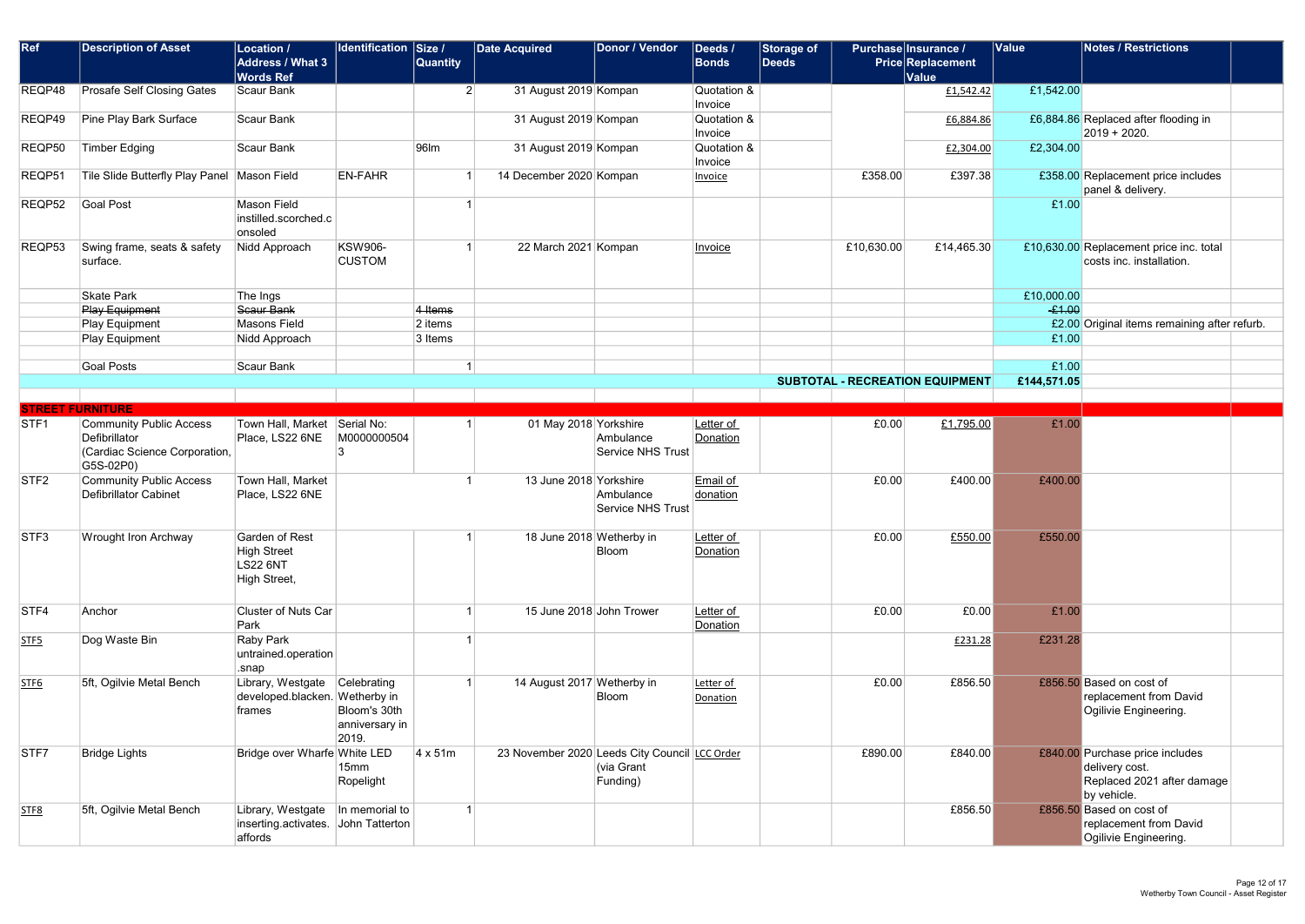| Ref              | <b>Description of Asset</b>                                | <b>Location /</b><br><b>Address / What 3</b><br><b>Words Ref</b>    | <b>Identification</b>                                  | $\vert$ Size /<br>Quantity | <b>Date Acquired</b>                          | Donor / Vendor                 | Deeds /<br>Bonds       | Storage of<br><b>Deeds</b> |            | Purchase Insurance /<br><b>Price Replacement</b><br><b>Value</b> | <b>Value</b> | <b>Notes / Restrictions</b>                                                                    |  |
|------------------|------------------------------------------------------------|---------------------------------------------------------------------|--------------------------------------------------------|----------------------------|-----------------------------------------------|--------------------------------|------------------------|----------------------------|------------|------------------------------------------------------------------|--------------|------------------------------------------------------------------------------------------------|--|
| REQP48           | Prosafe Self Closing Gates                                 | Scaur Bank                                                          |                                                        | 2                          | 31 August 2019 Kompan                         |                                | Quotation &<br>Invoice |                            |            | £1,542.42                                                        | £1,542.00    |                                                                                                |  |
| REQP49           | Pine Play Bark Surface                                     | Scaur Bank                                                          |                                                        |                            | 31 August 2019 Kompan                         |                                | Quotation &<br>Invoice |                            |            | £6,884.86                                                        |              | £6,884.86 Replaced after flooding in<br>$2019 + 2020$ .                                        |  |
| REQP50           | <b>Timber Edging</b>                                       | Scaur Bank                                                          |                                                        | $96$ m                     | 31 August 2019 Kompan                         |                                | Quotation &<br>Invoice |                            |            | £2,304.00                                                        | £2,304.00    |                                                                                                |  |
| REQP51           | Tile Slide Butterfly Play Panel Mason Field                |                                                                     | <b>EN-FAHR</b>                                         |                            | 14 December 2020 Kompan                       |                                | Invoice                |                            | £358.00    | £397.38                                                          |              | £358.00 Replacement price includes<br>panel & delivery.                                        |  |
| REQP52           | Goal Post                                                  | Mason Field<br>instilled.scorched.c<br>onsoled                      |                                                        |                            |                                               |                                |                        |                            |            |                                                                  | £1.00        |                                                                                                |  |
| REQP53           | Swing frame, seats & safety<br>surface.                    | Nidd Approach                                                       | KSW906-<br><b>CUSTOM</b>                               |                            | 22 March 2021 Kompan                          |                                | Invoice                |                            | £10,630.00 | £14,465.30                                                       |              | £10,630.00 Replacement price inc. total<br>costs inc. installation.                            |  |
|                  | Skate Park                                                 | The Ings                                                            |                                                        |                            |                                               |                                |                        |                            |            |                                                                  | £10,000.00   |                                                                                                |  |
|                  | <b>Play Equipment</b>                                      | Scaur Bank                                                          |                                                        | $ 4$ Items                 |                                               |                                |                        |                            |            |                                                                  | £1.00        |                                                                                                |  |
|                  | Play Equipment                                             | Masons Field                                                        |                                                        | $ 2$ items                 |                                               |                                |                        |                            |            |                                                                  |              | £2.00 Original items remaining after refurb.                                                   |  |
|                  | Play Equipment                                             | Nidd Approach                                                       |                                                        | $3$ Items                  |                                               |                                |                        |                            |            |                                                                  | £1.00        |                                                                                                |  |
|                  |                                                            |                                                                     |                                                        |                            |                                               |                                |                        |                            |            |                                                                  |              |                                                                                                |  |
|                  | Goal Posts                                                 | Scaur Bank                                                          |                                                        |                            |                                               |                                |                        |                            |            |                                                                  | £1.00        |                                                                                                |  |
|                  |                                                            |                                                                     |                                                        |                            |                                               |                                |                        |                            |            | SUBTOTAL - RECREATION EQUIPMENT                                  | £144,571.05  |                                                                                                |  |
|                  | <b>STREET FURNITURE</b>                                    |                                                                     |                                                        |                            |                                               |                                |                        |                            |            |                                                                  |              |                                                                                                |  |
| STF <sub>1</sub> | <b>Community Public Access</b>                             | Town Hall, Market                                                   | Serial No:                                             |                            | 01 May 2018 Yorkshire                         |                                | Letter of              |                            | £0.00      | £1,795.00                                                        | £1.00        |                                                                                                |  |
|                  | Defibrillator<br>Cardiac Science Corporation,<br>G5S-02P0) | Place, LS22 6NE                                                     | M0000000504<br>3                                       |                            |                                               | Ambulance<br>Service NHS Trust | Donation               |                            |            |                                                                  |              |                                                                                                |  |
| STF <sub>2</sub> | Community Public Access<br>Defibrillator Cabinet           | Town Hall, Market<br>Place, LS22 6NE                                |                                                        |                            | 13 June 2018 Yorkshire                        | Ambulance<br>Service NHS Trust | Email of<br>donation   |                            | £0.00      | £400.00                                                          | £400.00      |                                                                                                |  |
| STF <sub>3</sub> | <b>Wrought Iron Archway</b>                                | Garden of Rest<br>High Street<br><b>LS22 6NT</b><br>High Street,    |                                                        |                            | 18 June 2018 Wetherby in                      | Bloom                          | Letter of<br>Donation  |                            | E0.00      | £550.00                                                          | £550.00      |                                                                                                |  |
| STF4             | Anchor                                                     | Cluster of Nuts Car<br>Park                                         |                                                        |                            | 15 June 2018 John Trower                      |                                | Letter of<br>Donation  |                            | E0.00      | £0.00                                                            | £1.00        |                                                                                                |  |
| STF5             | Dog Waste Bin                                              | Raby Park<br>untrained.operation<br>snap                            |                                                        |                            |                                               |                                |                        |                            |            | £231.28                                                          | £231.28      |                                                                                                |  |
| STF <sub>6</sub> | 5ft, Ogilvie Metal Bench                                   | Library, Westgate<br>developed.blacken. Wetherby in<br>frames       | Celebrating<br>Bloom's 30th<br>anniversary in<br>2019. |                            | 14 August 2017 Wetherby in                    | Bloom                          | Letter of<br>Donation  |                            | E0.00      | £856.50                                                          |              | £856.50 Based on cost of<br>replacement from David<br>Ogilivie Engineering.                    |  |
| STF7             | <b>Bridge Lights</b>                                       | Bridge over Wharfe White LED                                        | 15mm<br>Ropelight                                      | $4 \times 51m$             | 23 November 2020 Leeds City Council LCC Order | (via Grant<br>Funding)         |                        |                            | £890.00    | £840.00                                                          |              | £840.00 Purchase price includes<br>delivery cost.<br>Replaced 2021 after damage<br>by vehicle. |  |
| STF <sub>8</sub> | 5ft, Ogilvie Metal Bench                                   | Library, Westgate<br>inserting.activates. John Tatterton<br>affords | In memorial to                                         |                            |                                               |                                |                        |                            |            | £856.50                                                          |              | £856.50 Based on cost of<br>replacement from David<br>Ogilivie Engineering.                    |  |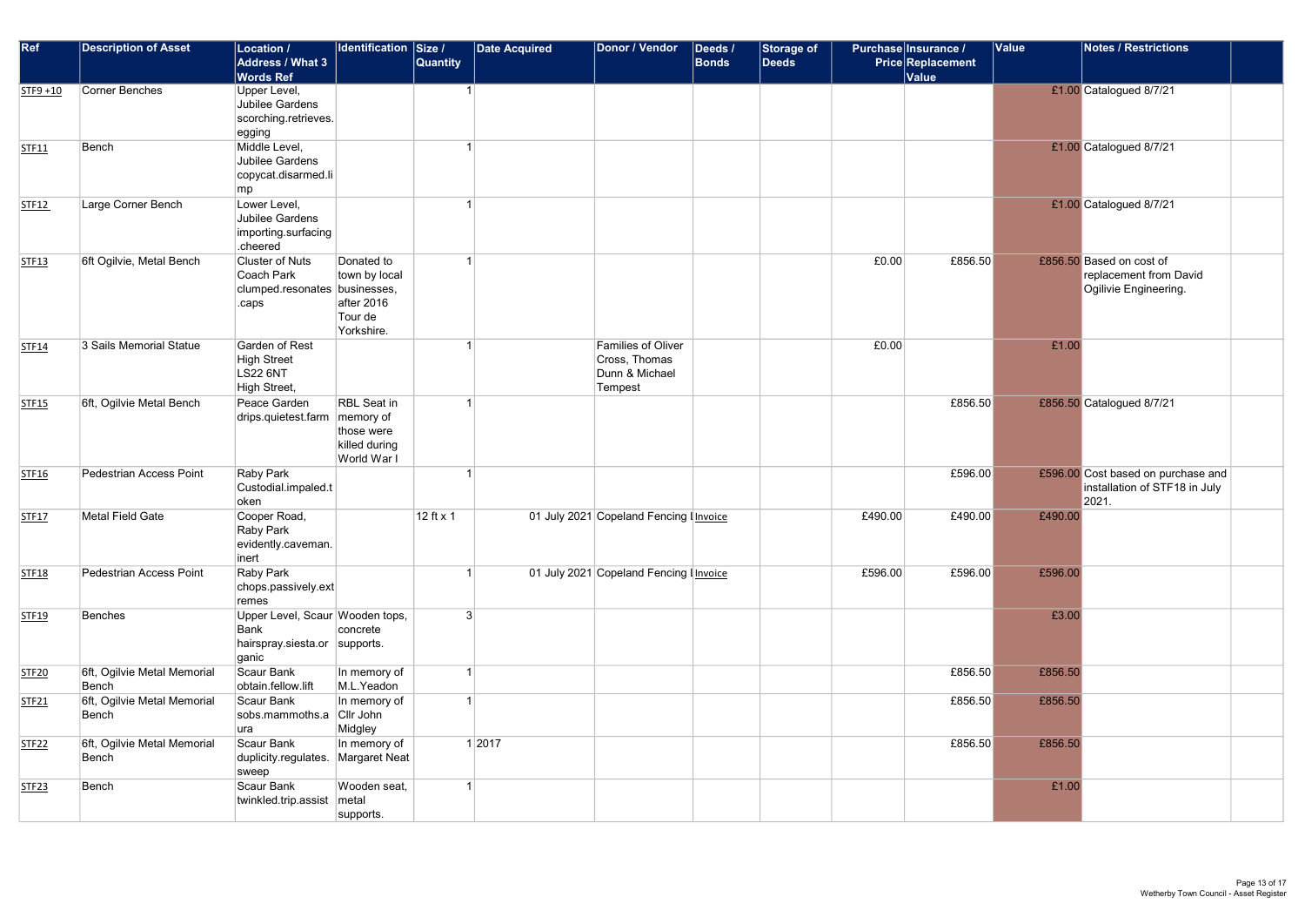| <b>Ref</b>   | <b>Description of Asset</b>          | Location /<br><b>Address / What 3</b><br><b>Words Ref</b>                      | Identification Size /                                                         | <b>Quantity</b> | <b>Date Acquired</b> | Donor / Vendor                                                          | Deeds /<br>Bonds | Storage of<br><b>Deeds</b> | Purchase Insurance /<br><b>Value</b> | <b>Price Replacement</b> | <b>Value</b> | <b>Notes / Restrictions</b>                                                  |
|--------------|--------------------------------------|--------------------------------------------------------------------------------|-------------------------------------------------------------------------------|-----------------|----------------------|-------------------------------------------------------------------------|------------------|----------------------------|--------------------------------------|--------------------------|--------------|------------------------------------------------------------------------------|
| STF9 +10     | Corner Benches                       | Upper Level,<br>Jubilee Gardens<br>scorching.retrieves.<br>egging              |                                                                               |                 |                      |                                                                         |                  |                            |                                      |                          |              | £1.00 Catalogued 8/7/21                                                      |
| STF11        | Bench                                | Middle Level,<br>Jubilee Gardens<br>copycat.disarmed.li<br>mp                  |                                                                               |                 |                      |                                                                         |                  |                            |                                      |                          |              | £1.00 Catalogued 8/7/21                                                      |
| STF12        | Large Corner Bench                   | Lower Level,<br>Jubilee Gardens<br>importing.surfacing<br>.cheered             |                                                                               |                 |                      |                                                                         |                  |                            |                                      |                          |              | £1.00 Catalogued 8/7/21                                                      |
| <b>STF13</b> | 6ft Ogilvie, Metal Bench             | <b>Cluster of Nuts</b><br>Coach Park<br>clumped.resonates businesses,<br>.caps | Donated to<br>town by local<br>after 2016<br>Tour de<br>Yorkshire.            |                 |                      |                                                                         |                  |                            | £0.00                                | £856.50                  |              | £856.50 Based on cost of<br>replacement from David<br>Ogilivie Engineering.  |
| <b>STF14</b> | 3 Sails Memorial Statue              | <b>Garden of Rest</b><br><b>High Street</b><br><b>LS22 6NT</b><br>High Street, |                                                                               |                 |                      | <b>Families of Oliver</b><br>Cross, Thomas<br>Dunn & Michael<br>Tempest |                  |                            | £0.00                                |                          | £1.00        |                                                                              |
| <b>STF15</b> | 6ft, Ogilvie Metal Bench             | Peace Garden<br>drips.quietest.farm                                            | <b>RBL Seat in</b><br>memory of<br>those were<br>killed during<br>World War I |                 |                      |                                                                         |                  |                            |                                      | £856.50                  |              | £856.50 Catalogued 8/7/21                                                    |
| <b>STF16</b> | Pedestrian Access Point              | Raby Park<br>Custodial.impaled.t<br>oken                                       |                                                                               |                 |                      |                                                                         |                  |                            |                                      | £596.00                  |              | £596.00 Cost based on purchase and<br>installation of STF18 in July<br>2021. |
| <b>STF17</b> | Metal Field Gate                     | Cooper Road,<br>Raby Park<br>evidently.caveman.<br>∣inert                      |                                                                               | 12 ft x 1       |                      | 01 July 2021 Copeland Fencing Invoice                                   |                  |                            | £490.00                              | £490.00                  | £490.00      |                                                                              |
| <b>STF18</b> | Pedestrian Access Point              | <b>Raby Park</b><br>$ $ chops.passively.ext $ $<br>remes                       |                                                                               |                 |                      | 01 July 2021 Copeland Fencing Invoice                                   |                  |                            | £596.00                              | £596.00                  | £596.00      |                                                                              |
| <b>STF19</b> | Benches                              | Upper Level, Scaur Wooden tops,<br>Bank<br>hairspray.siesta.or<br>ganic        | concrete<br>supports.                                                         | 3               |                      |                                                                         |                  |                            |                                      |                          | £3.00        |                                                                              |
| <b>STF20</b> | 6ft, Ogilvie Metal Memorial<br>Bench | Scaur Bank<br>obtain.fellow.lift                                               | In memory of<br>M.L.Yeadon                                                    | 1               |                      |                                                                         |                  |                            |                                      | £856.50                  | £856.50      |                                                                              |
| <b>STF21</b> | 6ft, Ogilvie Metal Memorial<br>Bench | Scaur Bank<br>sobs.mammoths.a<br>∣ura                                          | In memory of<br>Cllr John<br>Midgley                                          |                 |                      |                                                                         |                  |                            |                                      | £856.50                  | £856.50      |                                                                              |
| <b>STF22</b> | 6ft, Ogilvie Metal Memorial<br>Bench | Scaur Bank<br>duplicity.regulates.<br>sweep                                    | In memory of<br>Margaret Neat                                                 |                 | 1 2017               |                                                                         |                  |                            |                                      | £856.50                  | £856.50      |                                                                              |
| <b>STF23</b> | Bench                                | Scaur Bank<br>twinkled.trip.assist                                             | Wooden seat,<br>metal<br>supports.                                            |                 |                      |                                                                         |                  |                            |                                      |                          | £1.00        |                                                                              |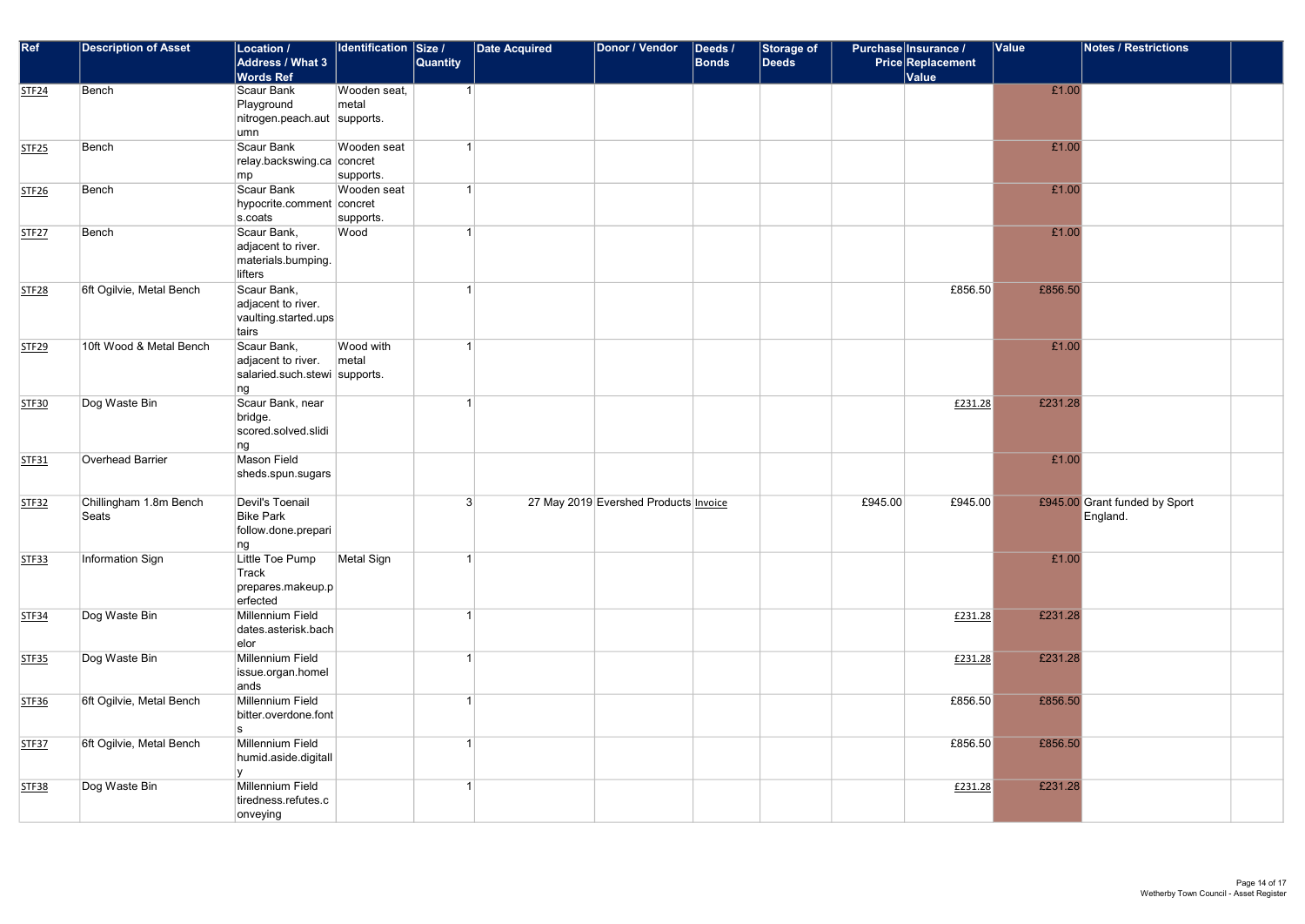| Ref          | <b>Description of Asset</b>     | <b>Location /</b><br><b>Address / What 3</b><br><b>Words Ref</b>         | Identification Size /               | Quantity       | <b>Date Acquired</b> | Donor / Vendor                        | Deeds /<br>Bonds | Storage of<br><b>Deeds</b> | Purchase Insurance /<br><b>Price Replacement</b><br><b>Value</b> |         | Value   | Notes / Restrictions                      |  |
|--------------|---------------------------------|--------------------------------------------------------------------------|-------------------------------------|----------------|----------------------|---------------------------------------|------------------|----------------------------|------------------------------------------------------------------|---------|---------|-------------------------------------------|--|
| <b>STF24</b> | Bench                           | <b>Scaur Bank</b><br>Playground<br>nitrogen.peach.aut supports.<br>umn   | Wooden seat,<br>metal               |                |                      |                                       |                  |                            |                                                                  |         | £1.00   |                                           |  |
| <b>STF25</b> | Bench                           | Scaur Bank<br>relay.backswing.ca concret<br>mp                           | Wooden seat<br>supports.            |                |                      |                                       |                  |                            |                                                                  |         | £1.00   |                                           |  |
| <b>STF26</b> | Bench                           | <b>Scaur Bank</b><br>hypocrite.comment<br>s.coats                        | Wooden seat<br>concret<br>supports. |                |                      |                                       |                  |                            |                                                                  |         | £1.00   |                                           |  |
| <b>STF27</b> | Bench                           | Scaur Bank,<br>adjacent to river.<br>materials.bumping.<br>lifters       | Wood                                |                |                      |                                       |                  |                            |                                                                  |         | £1.00   |                                           |  |
| <b>STF28</b> | 6ft Ogilvie, Metal Bench        | Scaur Bank,<br>adjacent to river.<br>vaulting.started.ups<br>tairs       |                                     |                |                      |                                       |                  |                            |                                                                  | £856.50 | £856.50 |                                           |  |
| <b>STF29</b> | 10ft Wood & Metal Bench         | Scaur Bank,<br>adjacent to river.<br>salaried.such.stewi supports.<br>ng | Wood with<br>metal                  |                |                      |                                       |                  |                            |                                                                  |         | £1.00   |                                           |  |
| <b>STF30</b> | Dog Waste Bin                   | Scaur Bank, near<br>bridge.<br>scored.solved.slidi<br>ng                 |                                     |                |                      |                                       |                  |                            |                                                                  | £231.28 | £231.28 |                                           |  |
| STF31        | Overhead Barrier                | <b>Mason Field</b><br>sheds.spun.sugars                                  |                                     |                |                      |                                       |                  |                            |                                                                  |         | £1.00   |                                           |  |
| <b>STF32</b> | Chillingham 1.8m Bench<br>Seats | <b>Devil's Toenail</b><br><b>Bike Park</b><br>follow.done.prepari<br>ng  |                                     | 3 <sup>1</sup> |                      | 27 May 2019 Evershed Products Invoice |                  |                            | £945.00                                                          | £945.00 |         | £945.00 Grant funded by Sport<br>England. |  |
| <b>STF33</b> | Information Sign                | Little Toe Pump<br>Track<br>prepares.makeup.p<br>erfected                | <b>Metal Sign</b>                   |                |                      |                                       |                  |                            |                                                                  |         | £1.00   |                                           |  |
| <b>STF34</b> | Dog Waste Bin                   | Millennium Field<br>dates.asterisk.bach<br>elor                          |                                     |                |                      |                                       |                  |                            |                                                                  | £231.28 | £231.28 |                                           |  |
| <b>STF35</b> | Dog Waste Bin                   | Millennium Field<br>issue.organ.homel<br>ands                            |                                     |                |                      |                                       |                  |                            |                                                                  | £231.28 | £231.28 |                                           |  |
| <b>STF36</b> | 6ft Ogilvie, Metal Bench        | Millennium Field<br>bitter.overdone.font<br>S.                           |                                     |                |                      |                                       |                  |                            |                                                                  | £856.50 | £856.50 |                                           |  |
| <b>STF37</b> | 6ft Ogilvie, Metal Bench        | Millennium Field<br>humid.aside.digitall                                 |                                     |                |                      |                                       |                  |                            |                                                                  | £856.50 | £856.50 |                                           |  |
| <b>STF38</b> | Dog Waste Bin                   | Millennium Field<br>tiredness.refutes.c<br>onveying                      |                                     |                |                      |                                       |                  |                            |                                                                  | £231.28 | £231.28 |                                           |  |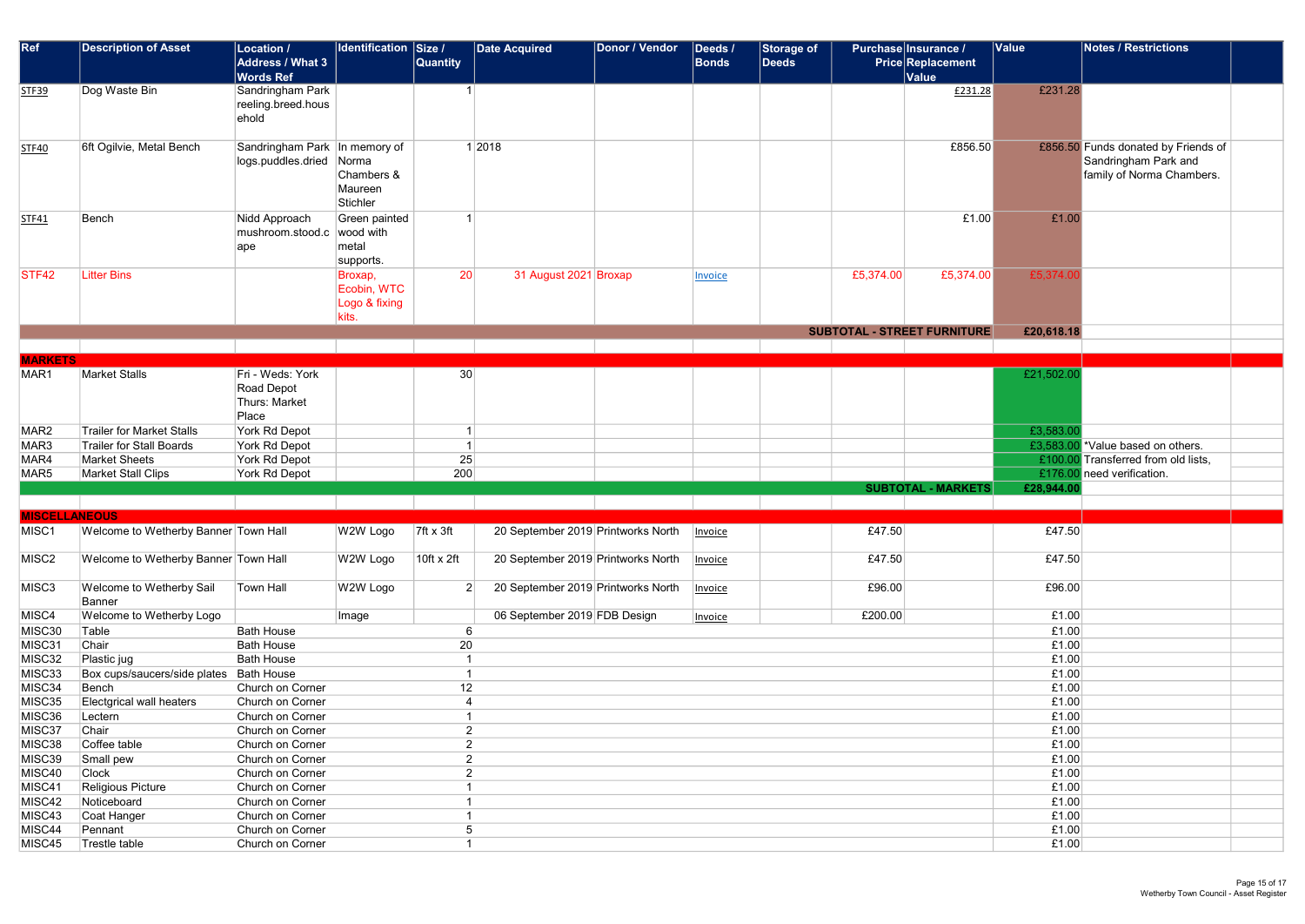| Ref                  | <b>Description of Asset</b>                | <b>Location /</b>               | Identification Size / |                 | <b>Date Acquired</b>                                          | Donor / Vendor | Deeds / | Storage of   |           | Purchase Insurance /        | <b>Value</b> | Notes / Restrictions                |  |
|----------------------|--------------------------------------------|---------------------------------|-----------------------|-----------------|---------------------------------------------------------------|----------------|---------|--------------|-----------|-----------------------------|--------------|-------------------------------------|--|
|                      |                                            |                                 |                       |                 |                                                               |                |         |              |           |                             |              |                                     |  |
|                      |                                            | <b>Address / What 3</b>         |                       | <b>Quantity</b> |                                                               |                | Bonds   | <b>Deeds</b> |           | <b>Price Replacement</b>    |              |                                     |  |
|                      |                                            | <b>Words Ref</b>                |                       |                 |                                                               |                |         |              |           | Value                       |              |                                     |  |
| <b>STF39</b>         | Dog Waste Bin                              | Sandringham Park                |                       |                 |                                                               |                |         |              |           | £231.28                     | £231.28      |                                     |  |
|                      |                                            | reeling.breed.hous              |                       |                 |                                                               |                |         |              |           |                             |              |                                     |  |
|                      |                                            | ehold                           |                       |                 |                                                               |                |         |              |           |                             |              |                                     |  |
|                      |                                            |                                 |                       |                 |                                                               |                |         |              |           |                             |              |                                     |  |
| <b>STF40</b>         | 6ft Ogilvie, Metal Bench                   | Sandringham Park   In memory of |                       |                 | 1 2018                                                        |                |         |              |           | £856.50                     |              | £856.50 Funds donated by Friends of |  |
|                      |                                            | logs.puddles.dried Norma        |                       |                 |                                                               |                |         |              |           |                             |              | Sandringham Park and                |  |
|                      |                                            |                                 | Chambers &            |                 |                                                               |                |         |              |           |                             |              | family of Norma Chambers.           |  |
|                      |                                            |                                 | Maureen               |                 |                                                               |                |         |              |           |                             |              |                                     |  |
|                      |                                            |                                 | Stichler              |                 |                                                               |                |         |              |           |                             |              |                                     |  |
| <b>STF41</b>         | Bench                                      | Nidd Approach                   | Green painted         |                 |                                                               |                |         |              |           | £1.00                       | £1.00        |                                     |  |
|                      |                                            | mushroom.stood.c                | wood with             |                 |                                                               |                |         |              |           |                             |              |                                     |  |
|                      |                                            | ape                             | metal                 |                 |                                                               |                |         |              |           |                             |              |                                     |  |
|                      |                                            |                                 | supports.             |                 |                                                               |                |         |              |           |                             |              |                                     |  |
| <b>STF42</b>         | <b>Litter Bins</b>                         |                                 | Broxap,               | 20 <sup>1</sup> | 31 August 2021 Broxap                                         |                | Invoice |              | £5,374.00 | £5,374.00                   | £5,374.0     |                                     |  |
|                      |                                            |                                 | Ecobin, WTC           |                 |                                                               |                |         |              |           |                             |              |                                     |  |
|                      |                                            |                                 | Logo & fixing         |                 |                                                               |                |         |              |           |                             |              |                                     |  |
|                      |                                            |                                 | kits.                 |                 |                                                               |                |         |              |           |                             |              |                                     |  |
|                      |                                            |                                 |                       |                 |                                                               |                |         |              |           | SUBTOTAL - STREET FURNITURE | £20,618.18   |                                     |  |
|                      |                                            |                                 |                       |                 |                                                               |                |         |              |           |                             |              |                                     |  |
| <b>MARKETS</b>       |                                            |                                 |                       |                 |                                                               |                |         |              |           |                             |              |                                     |  |
| MAR1                 | <b>Market Stalls</b>                       | Fri - Weds: York                |                       | 30              |                                                               |                |         |              |           |                             | £21,502.00   |                                     |  |
|                      |                                            | Road Depot                      |                       |                 |                                                               |                |         |              |           |                             |              |                                     |  |
|                      |                                            | Thurs: Market                   |                       |                 |                                                               |                |         |              |           |                             |              |                                     |  |
|                      |                                            | Place                           |                       |                 |                                                               |                |         |              |           |                             |              |                                     |  |
| MAR <sub>2</sub>     | <b>Trailer for Market Stalls</b>           | York Rd Depot                   |                       | $\mathbf 1$     |                                                               |                |         |              |           |                             | £3,583.00    |                                     |  |
| MAR3                 | Trailer for Stall Boards                   | York Rd Depot                   |                       | $\mathbf{1}$    |                                                               |                |         |              |           |                             | £3,583.0     | Value based on others.              |  |
| MAR4                 | Market Sheets                              | York Rd Depot                   |                       | 25              |                                                               |                |         |              |           |                             | £100.0       | Transferred from old lists,         |  |
| MAR5                 | Market Stall Clips                         | York Rd Depot                   |                       | 200             |                                                               |                |         |              |           |                             | £176.0       | need verification.                  |  |
|                      |                                            |                                 |                       |                 |                                                               |                |         |              |           | <b>SUBTOTAL - MARKETS</b>   | £28,944.00   |                                     |  |
|                      |                                            |                                 |                       |                 |                                                               |                |         |              |           |                             |              |                                     |  |
| <b>MISCELLANEOUS</b> |                                            |                                 |                       |                 |                                                               |                |         |              |           |                             |              |                                     |  |
|                      | MISC1 Welcome to Wetherby Banner Town Hall |                                 |                       |                 | W2W Logo 7ft x 3ft 20 September 2019 Printworks North Invoice |                |         |              | £47.50    |                             | £47.50       |                                     |  |
|                      |                                            |                                 |                       |                 |                                                               |                |         |              |           |                             |              |                                     |  |
| MISC2                | Welcome to Wetherby Banner Town Hall       |                                 | W2W Logo              | 10ft x 2ft      | 20 September 2019 Printworks North                            |                | Invoice |              | £47.50    |                             | £47.50       |                                     |  |
|                      |                                            |                                 |                       |                 |                                                               |                |         |              |           |                             |              |                                     |  |
| MISC3                | Welcome to Wetherby Sail                   | <b>Town Hall</b>                | W2W Logo              | $\vert$ 2       | 20 September 2019 Printworks North                            |                | Invoice |              | £96.00    |                             | £96.00       |                                     |  |
|                      | Banner                                     |                                 |                       |                 |                                                               |                |         |              |           |                             |              |                                     |  |
| MISC4                | Welcome to Wetherby Logo                   |                                 | Image                 |                 | 06 September 2019 FDB Design                                  |                | Invoice |              | £200.00   |                             | £1.00        |                                     |  |
| MISC30               | Table                                      | <b>Bath House</b>               |                       | 6               |                                                               |                |         |              |           |                             | £1.00        |                                     |  |
| MISC31               | Chair                                      | <b>Bath House</b>               |                       | 20              |                                                               |                |         |              |           |                             | £1.00        |                                     |  |
| MISC32               | Plastic jug                                | <b>Bath House</b>               |                       | $\overline{1}$  |                                                               |                |         |              |           |                             | £1.00        |                                     |  |
| MISC33               | Box cups/saucers/side plates               | <b>Bath House</b>               |                       | $\overline{1}$  |                                                               |                |         |              |           |                             | £1.00        |                                     |  |
|                      |                                            | Church on Corner                |                       |                 |                                                               |                |         |              |           |                             | £1.00        |                                     |  |
| MISC34               | Bench                                      |                                 |                       | 12              |                                                               |                |         |              |           |                             |              |                                     |  |
| MISC35               | Electgrical wall heaters                   | Church on Corner                |                       | $\overline{4}$  |                                                               |                |         |              |           |                             | £1.00        |                                     |  |
| MISC36               | Lectern                                    | Church on Corner                |                       |                 |                                                               |                |         |              |           |                             | £1.00        |                                     |  |
| MISC37               | Chair                                      | Church on Corner                |                       | $\overline{2}$  |                                                               |                |         |              |           |                             | £1.00        |                                     |  |
| MISC38               | Coffee table                               | Church on Corner                |                       | $\overline{2}$  |                                                               |                |         |              |           |                             | £1.00        |                                     |  |
| MISC39               | Small pew                                  | Church on Corner                |                       | $\overline{2}$  |                                                               |                |         |              |           |                             | £1.00        |                                     |  |
| MISC40               | <b>Clock</b>                               | Church on Corner                |                       | $\overline{2}$  |                                                               |                |         |              |           |                             | £1.00        |                                     |  |
| MISC41               | Religious Picture                          | Church on Corner                |                       | $\overline{1}$  |                                                               |                |         |              |           |                             | £1.00        |                                     |  |
| MISC42               | Noticeboard                                | Church on Corner                |                       |                 |                                                               |                |         |              |           |                             | £1.00        |                                     |  |
| MISC43               | Coat Hanger                                | Church on Corner                |                       | -1              |                                                               |                |         |              |           |                             | £1.00        |                                     |  |
| MISC44               | Pennant                                    | Church on Corner                |                       | $\mathbf 5$     |                                                               |                |         |              |           |                             | £1.00        |                                     |  |
| MISC45               | Trestle table                              | Church on Corner                |                       | $\overline{1}$  |                                                               |                |         |              |           |                             | £1.00        |                                     |  |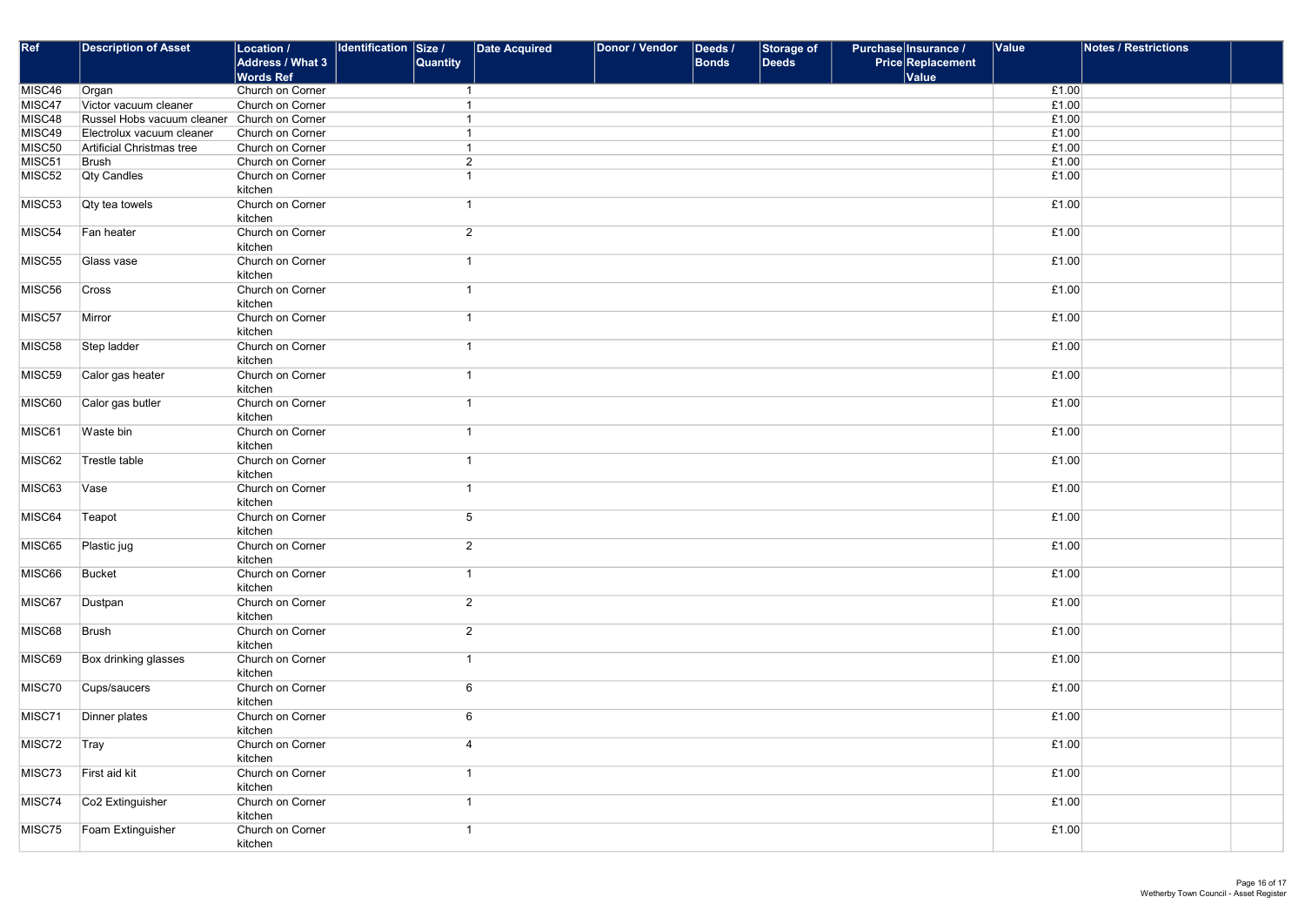| Church on Corner<br>MISC46<br>£1.00<br>Organ<br>£1.00<br>MISC47<br>Victor vacuum cleaner<br>Church on Corner<br>-1<br>Russel Hobs vacuum cleaner Church on Corner<br>MISC48<br>£1.00<br>1<br>Church on Corner<br>£1.00<br>MISC49<br>Electrolux vacuum cleaner<br>£1.00<br>MISC50<br>Church on Corner<br>Artificial Christmas tree<br>$\mathbf 1$<br>£1.00<br>Church on Corner<br>$\overline{2}$<br>MISC51<br>Brush<br>MISC52<br>Qty Candles<br>£1.00<br>Church on Corner<br>1<br>kitchen<br>Church on Corner<br>£1.00<br>MISC53<br>Qty tea towels<br>$\overline{1}$<br>kitchen<br>$\overline{2}$<br>Church on Corner<br>£1.00<br>MISC54<br>Fan heater<br>kitchen<br>Church on Corner<br>£1.00<br>MISC55<br>Glass vase<br>$\overline{1}$<br>kitchen<br>Church on Corner<br>MISC56<br>£1.00<br><b>Cross</b><br>$\overline{1}$<br>kitchen<br>Church on Corner<br>£1.00<br>MISC57<br>Mirror<br>1<br>kitchen<br>Step ladder<br>Church on Corner<br>£1.00<br>MISC58<br>$\overline{\mathbf{1}}$<br>kitchen<br>Church on Corner<br>£1.00<br>MISC59<br>Calor gas heater<br>$\overline{1}$<br>kitchen<br>Church on Corner<br>£1.00<br>MISC60<br>Calor gas butler<br>$\overline{1}$<br>kitchen<br>Waste bin<br>Church on Corner<br>£1.00<br>$\overline{1}$<br>kitchen<br>Trestle table<br>Church on Corner<br>£1.00<br>$\overline{1}$<br>kitchen<br>Church on Corner<br>£1.00<br>Vase<br>1<br>kitchen<br>£1.00<br>Church on Corner<br>$\overline{5}$<br>Teapot<br>kitchen<br>$\overline{2}$<br>£1.00<br>Plastic jug<br>Church on Corner<br>kitchen<br>Church on Corner<br>£1.00<br>MISC66<br>Bucket<br>$\overline{\mathbf{1}}$<br>kitchen<br>Church on Corner<br>$\overline{2}$<br>£1.00<br>MISC67<br>Dustpan<br>kitchen<br>Church on Corner<br>$\overline{2}$<br>MISC68<br>£1.00<br>Brush<br>kitchen<br>Church on Corner<br>£1.00<br>Box drinking glasses<br>MISC69<br>$\overline{1}$<br>kitchen<br>Church on Corner<br>£1.00<br>MISC70<br>Cups/saucers<br>6<br>kitchen<br>MISC71<br>Church on Corner<br>6<br>£1.00<br>Dinner plates<br>kitchen<br>£1.00<br>Church on Corner<br>MISC72<br>Tray<br>$\overline{4}$<br>kitchen<br>Church on Corner<br>First aid kit<br>£1.00<br>MISC73<br>$\overline{\mathbf{1}}$<br>kitchen<br>MISC74<br>Co2 Extinguisher<br>Church on Corner<br>£1.00<br>$\overline{1}$<br>kitchen<br>£1.00<br>Foam Extinguisher<br>Church on Corner<br>MISC75<br>$\mathbf{1}$ | Ref    | <b>Description of Asset</b> | Location /<br><b>Address / What 3</b><br><b>Words Ref</b> | <b>Identification Size /</b> | <b>Quantity</b> | Date Acquired | Donor / Vendor | $\vert$ Deeds /<br>Bonds | Storage of<br><b>Deeds</b> | Purchase Insurance /<br><b>Price Replacement</b><br><b>Value</b> | Value | <b>Notes / Restrictions</b> |  |
|-------------------------------------------------------------------------------------------------------------------------------------------------------------------------------------------------------------------------------------------------------------------------------------------------------------------------------------------------------------------------------------------------------------------------------------------------------------------------------------------------------------------------------------------------------------------------------------------------------------------------------------------------------------------------------------------------------------------------------------------------------------------------------------------------------------------------------------------------------------------------------------------------------------------------------------------------------------------------------------------------------------------------------------------------------------------------------------------------------------------------------------------------------------------------------------------------------------------------------------------------------------------------------------------------------------------------------------------------------------------------------------------------------------------------------------------------------------------------------------------------------------------------------------------------------------------------------------------------------------------------------------------------------------------------------------------------------------------------------------------------------------------------------------------------------------------------------------------------------------------------------------------------------------------------------------------------------------------------------------------------------------------------------------------------------------------------------------------------------------------------------------------------------------------------------------------------------------------------------------------------------------------------------------------------------------------------------------------------------------------------------------|--------|-----------------------------|-----------------------------------------------------------|------------------------------|-----------------|---------------|----------------|--------------------------|----------------------------|------------------------------------------------------------------|-------|-----------------------------|--|
|                                                                                                                                                                                                                                                                                                                                                                                                                                                                                                                                                                                                                                                                                                                                                                                                                                                                                                                                                                                                                                                                                                                                                                                                                                                                                                                                                                                                                                                                                                                                                                                                                                                                                                                                                                                                                                                                                                                                                                                                                                                                                                                                                                                                                                                                                                                                                                                     |        |                             |                                                           |                              |                 |               |                |                          |                            |                                                                  |       |                             |  |
|                                                                                                                                                                                                                                                                                                                                                                                                                                                                                                                                                                                                                                                                                                                                                                                                                                                                                                                                                                                                                                                                                                                                                                                                                                                                                                                                                                                                                                                                                                                                                                                                                                                                                                                                                                                                                                                                                                                                                                                                                                                                                                                                                                                                                                                                                                                                                                                     |        |                             |                                                           |                              |                 |               |                |                          |                            |                                                                  |       |                             |  |
|                                                                                                                                                                                                                                                                                                                                                                                                                                                                                                                                                                                                                                                                                                                                                                                                                                                                                                                                                                                                                                                                                                                                                                                                                                                                                                                                                                                                                                                                                                                                                                                                                                                                                                                                                                                                                                                                                                                                                                                                                                                                                                                                                                                                                                                                                                                                                                                     |        |                             |                                                           |                              |                 |               |                |                          |                            |                                                                  |       |                             |  |
|                                                                                                                                                                                                                                                                                                                                                                                                                                                                                                                                                                                                                                                                                                                                                                                                                                                                                                                                                                                                                                                                                                                                                                                                                                                                                                                                                                                                                                                                                                                                                                                                                                                                                                                                                                                                                                                                                                                                                                                                                                                                                                                                                                                                                                                                                                                                                                                     |        |                             |                                                           |                              |                 |               |                |                          |                            |                                                                  |       |                             |  |
|                                                                                                                                                                                                                                                                                                                                                                                                                                                                                                                                                                                                                                                                                                                                                                                                                                                                                                                                                                                                                                                                                                                                                                                                                                                                                                                                                                                                                                                                                                                                                                                                                                                                                                                                                                                                                                                                                                                                                                                                                                                                                                                                                                                                                                                                                                                                                                                     |        |                             |                                                           |                              |                 |               |                |                          |                            |                                                                  |       |                             |  |
|                                                                                                                                                                                                                                                                                                                                                                                                                                                                                                                                                                                                                                                                                                                                                                                                                                                                                                                                                                                                                                                                                                                                                                                                                                                                                                                                                                                                                                                                                                                                                                                                                                                                                                                                                                                                                                                                                                                                                                                                                                                                                                                                                                                                                                                                                                                                                                                     |        |                             |                                                           |                              |                 |               |                |                          |                            |                                                                  |       |                             |  |
|                                                                                                                                                                                                                                                                                                                                                                                                                                                                                                                                                                                                                                                                                                                                                                                                                                                                                                                                                                                                                                                                                                                                                                                                                                                                                                                                                                                                                                                                                                                                                                                                                                                                                                                                                                                                                                                                                                                                                                                                                                                                                                                                                                                                                                                                                                                                                                                     |        |                             |                                                           |                              |                 |               |                |                          |                            |                                                                  |       |                             |  |
|                                                                                                                                                                                                                                                                                                                                                                                                                                                                                                                                                                                                                                                                                                                                                                                                                                                                                                                                                                                                                                                                                                                                                                                                                                                                                                                                                                                                                                                                                                                                                                                                                                                                                                                                                                                                                                                                                                                                                                                                                                                                                                                                                                                                                                                                                                                                                                                     |        |                             |                                                           |                              |                 |               |                |                          |                            |                                                                  |       |                             |  |
|                                                                                                                                                                                                                                                                                                                                                                                                                                                                                                                                                                                                                                                                                                                                                                                                                                                                                                                                                                                                                                                                                                                                                                                                                                                                                                                                                                                                                                                                                                                                                                                                                                                                                                                                                                                                                                                                                                                                                                                                                                                                                                                                                                                                                                                                                                                                                                                     |        |                             |                                                           |                              |                 |               |                |                          |                            |                                                                  |       |                             |  |
|                                                                                                                                                                                                                                                                                                                                                                                                                                                                                                                                                                                                                                                                                                                                                                                                                                                                                                                                                                                                                                                                                                                                                                                                                                                                                                                                                                                                                                                                                                                                                                                                                                                                                                                                                                                                                                                                                                                                                                                                                                                                                                                                                                                                                                                                                                                                                                                     |        |                             |                                                           |                              |                 |               |                |                          |                            |                                                                  |       |                             |  |
|                                                                                                                                                                                                                                                                                                                                                                                                                                                                                                                                                                                                                                                                                                                                                                                                                                                                                                                                                                                                                                                                                                                                                                                                                                                                                                                                                                                                                                                                                                                                                                                                                                                                                                                                                                                                                                                                                                                                                                                                                                                                                                                                                                                                                                                                                                                                                                                     |        |                             |                                                           |                              |                 |               |                |                          |                            |                                                                  |       |                             |  |
|                                                                                                                                                                                                                                                                                                                                                                                                                                                                                                                                                                                                                                                                                                                                                                                                                                                                                                                                                                                                                                                                                                                                                                                                                                                                                                                                                                                                                                                                                                                                                                                                                                                                                                                                                                                                                                                                                                                                                                                                                                                                                                                                                                                                                                                                                                                                                                                     |        |                             |                                                           |                              |                 |               |                |                          |                            |                                                                  |       |                             |  |
|                                                                                                                                                                                                                                                                                                                                                                                                                                                                                                                                                                                                                                                                                                                                                                                                                                                                                                                                                                                                                                                                                                                                                                                                                                                                                                                                                                                                                                                                                                                                                                                                                                                                                                                                                                                                                                                                                                                                                                                                                                                                                                                                                                                                                                                                                                                                                                                     |        |                             |                                                           |                              |                 |               |                |                          |                            |                                                                  |       |                             |  |
|                                                                                                                                                                                                                                                                                                                                                                                                                                                                                                                                                                                                                                                                                                                                                                                                                                                                                                                                                                                                                                                                                                                                                                                                                                                                                                                                                                                                                                                                                                                                                                                                                                                                                                                                                                                                                                                                                                                                                                                                                                                                                                                                                                                                                                                                                                                                                                                     |        |                             |                                                           |                              |                 |               |                |                          |                            |                                                                  |       |                             |  |
|                                                                                                                                                                                                                                                                                                                                                                                                                                                                                                                                                                                                                                                                                                                                                                                                                                                                                                                                                                                                                                                                                                                                                                                                                                                                                                                                                                                                                                                                                                                                                                                                                                                                                                                                                                                                                                                                                                                                                                                                                                                                                                                                                                                                                                                                                                                                                                                     |        |                             |                                                           |                              |                 |               |                |                          |                            |                                                                  |       |                             |  |
|                                                                                                                                                                                                                                                                                                                                                                                                                                                                                                                                                                                                                                                                                                                                                                                                                                                                                                                                                                                                                                                                                                                                                                                                                                                                                                                                                                                                                                                                                                                                                                                                                                                                                                                                                                                                                                                                                                                                                                                                                                                                                                                                                                                                                                                                                                                                                                                     |        |                             |                                                           |                              |                 |               |                |                          |                            |                                                                  |       |                             |  |
|                                                                                                                                                                                                                                                                                                                                                                                                                                                                                                                                                                                                                                                                                                                                                                                                                                                                                                                                                                                                                                                                                                                                                                                                                                                                                                                                                                                                                                                                                                                                                                                                                                                                                                                                                                                                                                                                                                                                                                                                                                                                                                                                                                                                                                                                                                                                                                                     |        |                             |                                                           |                              |                 |               |                |                          |                            |                                                                  |       |                             |  |
|                                                                                                                                                                                                                                                                                                                                                                                                                                                                                                                                                                                                                                                                                                                                                                                                                                                                                                                                                                                                                                                                                                                                                                                                                                                                                                                                                                                                                                                                                                                                                                                                                                                                                                                                                                                                                                                                                                                                                                                                                                                                                                                                                                                                                                                                                                                                                                                     |        |                             |                                                           |                              |                 |               |                |                          |                            |                                                                  |       |                             |  |
|                                                                                                                                                                                                                                                                                                                                                                                                                                                                                                                                                                                                                                                                                                                                                                                                                                                                                                                                                                                                                                                                                                                                                                                                                                                                                                                                                                                                                                                                                                                                                                                                                                                                                                                                                                                                                                                                                                                                                                                                                                                                                                                                                                                                                                                                                                                                                                                     |        |                             |                                                           |                              |                 |               |                |                          |                            |                                                                  |       |                             |  |
|                                                                                                                                                                                                                                                                                                                                                                                                                                                                                                                                                                                                                                                                                                                                                                                                                                                                                                                                                                                                                                                                                                                                                                                                                                                                                                                                                                                                                                                                                                                                                                                                                                                                                                                                                                                                                                                                                                                                                                                                                                                                                                                                                                                                                                                                                                                                                                                     |        |                             |                                                           |                              |                 |               |                |                          |                            |                                                                  |       |                             |  |
|                                                                                                                                                                                                                                                                                                                                                                                                                                                                                                                                                                                                                                                                                                                                                                                                                                                                                                                                                                                                                                                                                                                                                                                                                                                                                                                                                                                                                                                                                                                                                                                                                                                                                                                                                                                                                                                                                                                                                                                                                                                                                                                                                                                                                                                                                                                                                                                     |        |                             |                                                           |                              |                 |               |                |                          |                            |                                                                  |       |                             |  |
|                                                                                                                                                                                                                                                                                                                                                                                                                                                                                                                                                                                                                                                                                                                                                                                                                                                                                                                                                                                                                                                                                                                                                                                                                                                                                                                                                                                                                                                                                                                                                                                                                                                                                                                                                                                                                                                                                                                                                                                                                                                                                                                                                                                                                                                                                                                                                                                     |        |                             |                                                           |                              |                 |               |                |                          |                            |                                                                  |       |                             |  |
|                                                                                                                                                                                                                                                                                                                                                                                                                                                                                                                                                                                                                                                                                                                                                                                                                                                                                                                                                                                                                                                                                                                                                                                                                                                                                                                                                                                                                                                                                                                                                                                                                                                                                                                                                                                                                                                                                                                                                                                                                                                                                                                                                                                                                                                                                                                                                                                     |        |                             |                                                           |                              |                 |               |                |                          |                            |                                                                  |       |                             |  |
|                                                                                                                                                                                                                                                                                                                                                                                                                                                                                                                                                                                                                                                                                                                                                                                                                                                                                                                                                                                                                                                                                                                                                                                                                                                                                                                                                                                                                                                                                                                                                                                                                                                                                                                                                                                                                                                                                                                                                                                                                                                                                                                                                                                                                                                                                                                                                                                     |        |                             |                                                           |                              |                 |               |                |                          |                            |                                                                  |       |                             |  |
|                                                                                                                                                                                                                                                                                                                                                                                                                                                                                                                                                                                                                                                                                                                                                                                                                                                                                                                                                                                                                                                                                                                                                                                                                                                                                                                                                                                                                                                                                                                                                                                                                                                                                                                                                                                                                                                                                                                                                                                                                                                                                                                                                                                                                                                                                                                                                                                     |        |                             |                                                           |                              |                 |               |                |                          |                            |                                                                  |       |                             |  |
|                                                                                                                                                                                                                                                                                                                                                                                                                                                                                                                                                                                                                                                                                                                                                                                                                                                                                                                                                                                                                                                                                                                                                                                                                                                                                                                                                                                                                                                                                                                                                                                                                                                                                                                                                                                                                                                                                                                                                                                                                                                                                                                                                                                                                                                                                                                                                                                     | MISC61 |                             |                                                           |                              |                 |               |                |                          |                            |                                                                  |       |                             |  |
|                                                                                                                                                                                                                                                                                                                                                                                                                                                                                                                                                                                                                                                                                                                                                                                                                                                                                                                                                                                                                                                                                                                                                                                                                                                                                                                                                                                                                                                                                                                                                                                                                                                                                                                                                                                                                                                                                                                                                                                                                                                                                                                                                                                                                                                                                                                                                                                     |        |                             |                                                           |                              |                 |               |                |                          |                            |                                                                  |       |                             |  |
|                                                                                                                                                                                                                                                                                                                                                                                                                                                                                                                                                                                                                                                                                                                                                                                                                                                                                                                                                                                                                                                                                                                                                                                                                                                                                                                                                                                                                                                                                                                                                                                                                                                                                                                                                                                                                                                                                                                                                                                                                                                                                                                                                                                                                                                                                                                                                                                     | MISC62 |                             |                                                           |                              |                 |               |                |                          |                            |                                                                  |       |                             |  |
|                                                                                                                                                                                                                                                                                                                                                                                                                                                                                                                                                                                                                                                                                                                                                                                                                                                                                                                                                                                                                                                                                                                                                                                                                                                                                                                                                                                                                                                                                                                                                                                                                                                                                                                                                                                                                                                                                                                                                                                                                                                                                                                                                                                                                                                                                                                                                                                     |        |                             |                                                           |                              |                 |               |                |                          |                            |                                                                  |       |                             |  |
|                                                                                                                                                                                                                                                                                                                                                                                                                                                                                                                                                                                                                                                                                                                                                                                                                                                                                                                                                                                                                                                                                                                                                                                                                                                                                                                                                                                                                                                                                                                                                                                                                                                                                                                                                                                                                                                                                                                                                                                                                                                                                                                                                                                                                                                                                                                                                                                     | MISC63 |                             |                                                           |                              |                 |               |                |                          |                            |                                                                  |       |                             |  |
|                                                                                                                                                                                                                                                                                                                                                                                                                                                                                                                                                                                                                                                                                                                                                                                                                                                                                                                                                                                                                                                                                                                                                                                                                                                                                                                                                                                                                                                                                                                                                                                                                                                                                                                                                                                                                                                                                                                                                                                                                                                                                                                                                                                                                                                                                                                                                                                     |        |                             |                                                           |                              |                 |               |                |                          |                            |                                                                  |       |                             |  |
|                                                                                                                                                                                                                                                                                                                                                                                                                                                                                                                                                                                                                                                                                                                                                                                                                                                                                                                                                                                                                                                                                                                                                                                                                                                                                                                                                                                                                                                                                                                                                                                                                                                                                                                                                                                                                                                                                                                                                                                                                                                                                                                                                                                                                                                                                                                                                                                     | MISC64 |                             |                                                           |                              |                 |               |                |                          |                            |                                                                  |       |                             |  |
|                                                                                                                                                                                                                                                                                                                                                                                                                                                                                                                                                                                                                                                                                                                                                                                                                                                                                                                                                                                                                                                                                                                                                                                                                                                                                                                                                                                                                                                                                                                                                                                                                                                                                                                                                                                                                                                                                                                                                                                                                                                                                                                                                                                                                                                                                                                                                                                     |        |                             |                                                           |                              |                 |               |                |                          |                            |                                                                  |       |                             |  |
|                                                                                                                                                                                                                                                                                                                                                                                                                                                                                                                                                                                                                                                                                                                                                                                                                                                                                                                                                                                                                                                                                                                                                                                                                                                                                                                                                                                                                                                                                                                                                                                                                                                                                                                                                                                                                                                                                                                                                                                                                                                                                                                                                                                                                                                                                                                                                                                     | MISC65 |                             |                                                           |                              |                 |               |                |                          |                            |                                                                  |       |                             |  |
|                                                                                                                                                                                                                                                                                                                                                                                                                                                                                                                                                                                                                                                                                                                                                                                                                                                                                                                                                                                                                                                                                                                                                                                                                                                                                                                                                                                                                                                                                                                                                                                                                                                                                                                                                                                                                                                                                                                                                                                                                                                                                                                                                                                                                                                                                                                                                                                     |        |                             |                                                           |                              |                 |               |                |                          |                            |                                                                  |       |                             |  |
|                                                                                                                                                                                                                                                                                                                                                                                                                                                                                                                                                                                                                                                                                                                                                                                                                                                                                                                                                                                                                                                                                                                                                                                                                                                                                                                                                                                                                                                                                                                                                                                                                                                                                                                                                                                                                                                                                                                                                                                                                                                                                                                                                                                                                                                                                                                                                                                     |        |                             |                                                           |                              |                 |               |                |                          |                            |                                                                  |       |                             |  |
|                                                                                                                                                                                                                                                                                                                                                                                                                                                                                                                                                                                                                                                                                                                                                                                                                                                                                                                                                                                                                                                                                                                                                                                                                                                                                                                                                                                                                                                                                                                                                                                                                                                                                                                                                                                                                                                                                                                                                                                                                                                                                                                                                                                                                                                                                                                                                                                     |        |                             |                                                           |                              |                 |               |                |                          |                            |                                                                  |       |                             |  |
|                                                                                                                                                                                                                                                                                                                                                                                                                                                                                                                                                                                                                                                                                                                                                                                                                                                                                                                                                                                                                                                                                                                                                                                                                                                                                                                                                                                                                                                                                                                                                                                                                                                                                                                                                                                                                                                                                                                                                                                                                                                                                                                                                                                                                                                                                                                                                                                     |        |                             |                                                           |                              |                 |               |                |                          |                            |                                                                  |       |                             |  |
|                                                                                                                                                                                                                                                                                                                                                                                                                                                                                                                                                                                                                                                                                                                                                                                                                                                                                                                                                                                                                                                                                                                                                                                                                                                                                                                                                                                                                                                                                                                                                                                                                                                                                                                                                                                                                                                                                                                                                                                                                                                                                                                                                                                                                                                                                                                                                                                     |        |                             |                                                           |                              |                 |               |                |                          |                            |                                                                  |       |                             |  |
|                                                                                                                                                                                                                                                                                                                                                                                                                                                                                                                                                                                                                                                                                                                                                                                                                                                                                                                                                                                                                                                                                                                                                                                                                                                                                                                                                                                                                                                                                                                                                                                                                                                                                                                                                                                                                                                                                                                                                                                                                                                                                                                                                                                                                                                                                                                                                                                     |        |                             |                                                           |                              |                 |               |                |                          |                            |                                                                  |       |                             |  |
|                                                                                                                                                                                                                                                                                                                                                                                                                                                                                                                                                                                                                                                                                                                                                                                                                                                                                                                                                                                                                                                                                                                                                                                                                                                                                                                                                                                                                                                                                                                                                                                                                                                                                                                                                                                                                                                                                                                                                                                                                                                                                                                                                                                                                                                                                                                                                                                     |        |                             |                                                           |                              |                 |               |                |                          |                            |                                                                  |       |                             |  |
|                                                                                                                                                                                                                                                                                                                                                                                                                                                                                                                                                                                                                                                                                                                                                                                                                                                                                                                                                                                                                                                                                                                                                                                                                                                                                                                                                                                                                                                                                                                                                                                                                                                                                                                                                                                                                                                                                                                                                                                                                                                                                                                                                                                                                                                                                                                                                                                     |        |                             |                                                           |                              |                 |               |                |                          |                            |                                                                  |       |                             |  |
|                                                                                                                                                                                                                                                                                                                                                                                                                                                                                                                                                                                                                                                                                                                                                                                                                                                                                                                                                                                                                                                                                                                                                                                                                                                                                                                                                                                                                                                                                                                                                                                                                                                                                                                                                                                                                                                                                                                                                                                                                                                                                                                                                                                                                                                                                                                                                                                     |        |                             |                                                           |                              |                 |               |                |                          |                            |                                                                  |       |                             |  |
|                                                                                                                                                                                                                                                                                                                                                                                                                                                                                                                                                                                                                                                                                                                                                                                                                                                                                                                                                                                                                                                                                                                                                                                                                                                                                                                                                                                                                                                                                                                                                                                                                                                                                                                                                                                                                                                                                                                                                                                                                                                                                                                                                                                                                                                                                                                                                                                     |        |                             |                                                           |                              |                 |               |                |                          |                            |                                                                  |       |                             |  |
|                                                                                                                                                                                                                                                                                                                                                                                                                                                                                                                                                                                                                                                                                                                                                                                                                                                                                                                                                                                                                                                                                                                                                                                                                                                                                                                                                                                                                                                                                                                                                                                                                                                                                                                                                                                                                                                                                                                                                                                                                                                                                                                                                                                                                                                                                                                                                                                     |        |                             |                                                           |                              |                 |               |                |                          |                            |                                                                  |       |                             |  |
|                                                                                                                                                                                                                                                                                                                                                                                                                                                                                                                                                                                                                                                                                                                                                                                                                                                                                                                                                                                                                                                                                                                                                                                                                                                                                                                                                                                                                                                                                                                                                                                                                                                                                                                                                                                                                                                                                                                                                                                                                                                                                                                                                                                                                                                                                                                                                                                     |        |                             |                                                           |                              |                 |               |                |                          |                            |                                                                  |       |                             |  |
|                                                                                                                                                                                                                                                                                                                                                                                                                                                                                                                                                                                                                                                                                                                                                                                                                                                                                                                                                                                                                                                                                                                                                                                                                                                                                                                                                                                                                                                                                                                                                                                                                                                                                                                                                                                                                                                                                                                                                                                                                                                                                                                                                                                                                                                                                                                                                                                     |        |                             |                                                           |                              |                 |               |                |                          |                            |                                                                  |       |                             |  |
|                                                                                                                                                                                                                                                                                                                                                                                                                                                                                                                                                                                                                                                                                                                                                                                                                                                                                                                                                                                                                                                                                                                                                                                                                                                                                                                                                                                                                                                                                                                                                                                                                                                                                                                                                                                                                                                                                                                                                                                                                                                                                                                                                                                                                                                                                                                                                                                     |        |                             |                                                           |                              |                 |               |                |                          |                            |                                                                  |       |                             |  |
|                                                                                                                                                                                                                                                                                                                                                                                                                                                                                                                                                                                                                                                                                                                                                                                                                                                                                                                                                                                                                                                                                                                                                                                                                                                                                                                                                                                                                                                                                                                                                                                                                                                                                                                                                                                                                                                                                                                                                                                                                                                                                                                                                                                                                                                                                                                                                                                     |        |                             |                                                           |                              |                 |               |                |                          |                            |                                                                  |       |                             |  |
|                                                                                                                                                                                                                                                                                                                                                                                                                                                                                                                                                                                                                                                                                                                                                                                                                                                                                                                                                                                                                                                                                                                                                                                                                                                                                                                                                                                                                                                                                                                                                                                                                                                                                                                                                                                                                                                                                                                                                                                                                                                                                                                                                                                                                                                                                                                                                                                     |        |                             |                                                           |                              |                 |               |                |                          |                            |                                                                  |       |                             |  |
|                                                                                                                                                                                                                                                                                                                                                                                                                                                                                                                                                                                                                                                                                                                                                                                                                                                                                                                                                                                                                                                                                                                                                                                                                                                                                                                                                                                                                                                                                                                                                                                                                                                                                                                                                                                                                                                                                                                                                                                                                                                                                                                                                                                                                                                                                                                                                                                     |        |                             |                                                           |                              |                 |               |                |                          |                            |                                                                  |       |                             |  |
|                                                                                                                                                                                                                                                                                                                                                                                                                                                                                                                                                                                                                                                                                                                                                                                                                                                                                                                                                                                                                                                                                                                                                                                                                                                                                                                                                                                                                                                                                                                                                                                                                                                                                                                                                                                                                                                                                                                                                                                                                                                                                                                                                                                                                                                                                                                                                                                     |        |                             |                                                           |                              |                 |               |                |                          |                            |                                                                  |       |                             |  |
|                                                                                                                                                                                                                                                                                                                                                                                                                                                                                                                                                                                                                                                                                                                                                                                                                                                                                                                                                                                                                                                                                                                                                                                                                                                                                                                                                                                                                                                                                                                                                                                                                                                                                                                                                                                                                                                                                                                                                                                                                                                                                                                                                                                                                                                                                                                                                                                     |        |                             |                                                           |                              |                 |               |                |                          |                            |                                                                  |       |                             |  |
|                                                                                                                                                                                                                                                                                                                                                                                                                                                                                                                                                                                                                                                                                                                                                                                                                                                                                                                                                                                                                                                                                                                                                                                                                                                                                                                                                                                                                                                                                                                                                                                                                                                                                                                                                                                                                                                                                                                                                                                                                                                                                                                                                                                                                                                                                                                                                                                     |        |                             |                                                           |                              |                 |               |                |                          |                            |                                                                  |       |                             |  |
|                                                                                                                                                                                                                                                                                                                                                                                                                                                                                                                                                                                                                                                                                                                                                                                                                                                                                                                                                                                                                                                                                                                                                                                                                                                                                                                                                                                                                                                                                                                                                                                                                                                                                                                                                                                                                                                                                                                                                                                                                                                                                                                                                                                                                                                                                                                                                                                     |        |                             | kitchen                                                   |                              |                 |               |                |                          |                            |                                                                  |       |                             |  |